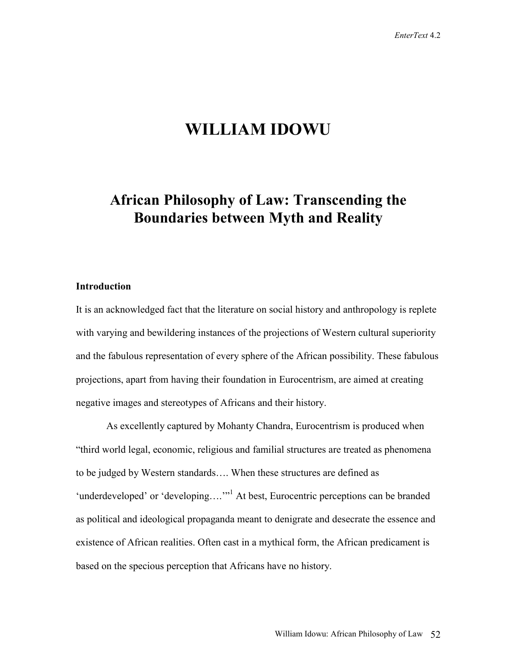# **WILLIAM IDOWU**

# **African Philosophy of Law: Transcending the Boundaries between Myth and Reality**

## **Introduction**

It is an acknowledged fact that the literature on social history and anthropology is replete with varying and bewildering instances of the projections of Western cultural superiority and the fabulous representation of every sphere of the African possibility. These fabulous projections, apart from having their foundation in Eurocentrism, are aimed at creating negative images and stereotypes of Africans and their history.

As excellently captured by Mohanty Chandra, Eurocentrism is produced when "third world legal, economic, religious and familial structures are treated as phenomena to be judged by Western standards…. When these structures are defined as 'underdeveloped' or 'developing....'"<sup>1</sup> At best, Eurocentric perceptions can be branded as political and ideological propaganda meant to denigrate and desecrate the essence and existence of African realities. Often cast in a mythical form, the African predicament is based on the specious perception that Africans have no history.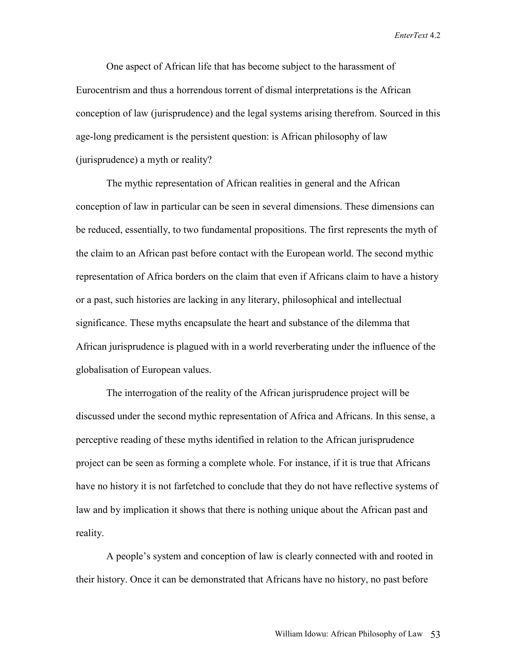One aspect of African life that has become subject to the harassment of Eurocentrism and thus a horrendous torrent of dismal interpretations is the African conception of law (jurisprudence) and the legal systems arising therefrom. Sourced in this age-long predicament is the persistent question: is African philosophy of law (jurisprudence) a myth or reality?

The mythic representation of African realities in general and the African conception of law in particular can be seen in several dimensions. These dimensions can be reduced, essentially, to two fundamental propositions. The first represents the myth of the claim to an African past before contact with the European world. The second mythic representation of Africa borders on the claim that even if Africans claim to have a history or a past, such histories are lacking in any literary, philosophical and intellectual significance. These myths encapsulate the heart and substance of the dilemma that African jurisprudence is plagued with in a world reverberating under the influence of the globalisation of European values.

The interrogation of the reality of the African jurisprudence project will be discussed under the second mythic representation of Africa and Africans. In this sense, a perceptive reading of these myths identified in relation to the African jurisprudence project can be seen as forming a complete whole. For instance, if it is true that Africans have no history it is not farfetched to conclude that they do not have reflective systems of law and by implication it shows that there is nothing unique about the African past and reality.

A people's system and conception of law is clearly connected with and rooted in their history. Once it can be demonstrated that Africans have no history, no past before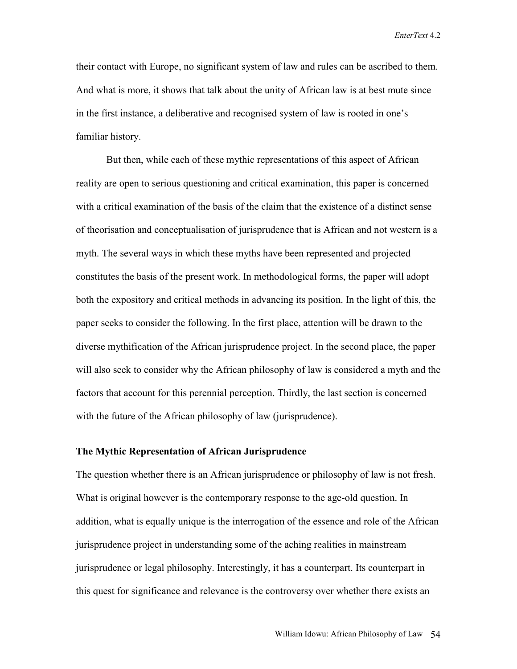their contact with Europe, no significant system of law and rules can be ascribed to them. And what is more, it shows that talk about the unity of African law is at best mute since in the first instance, a deliberative and recognised system of law is rooted in one's familiar history.

But then, while each of these mythic representations of this aspect of African reality are open to serious questioning and critical examination, this paper is concerned with a critical examination of the basis of the claim that the existence of a distinct sense of theorisation and conceptualisation of jurisprudence that is African and not western is a myth. The several ways in which these myths have been represented and projected constitutes the basis of the present work. In methodological forms, the paper will adopt both the expository and critical methods in advancing its position. In the light of this, the paper seeks to consider the following. In the first place, attention will be drawn to the diverse mythification of the African jurisprudence project. In the second place, the paper will also seek to consider why the African philosophy of law is considered a myth and the factors that account for this perennial perception. Thirdly, the last section is concerned with the future of the African philosophy of law (jurisprudence).

# **The Mythic Representation of African Jurisprudence**

The question whether there is an African jurisprudence or philosophy of law is not fresh. What is original however is the contemporary response to the age-old question. In addition, what is equally unique is the interrogation of the essence and role of the African jurisprudence project in understanding some of the aching realities in mainstream jurisprudence or legal philosophy. Interestingly, it has a counterpart. Its counterpart in this quest for significance and relevance is the controversy over whether there exists an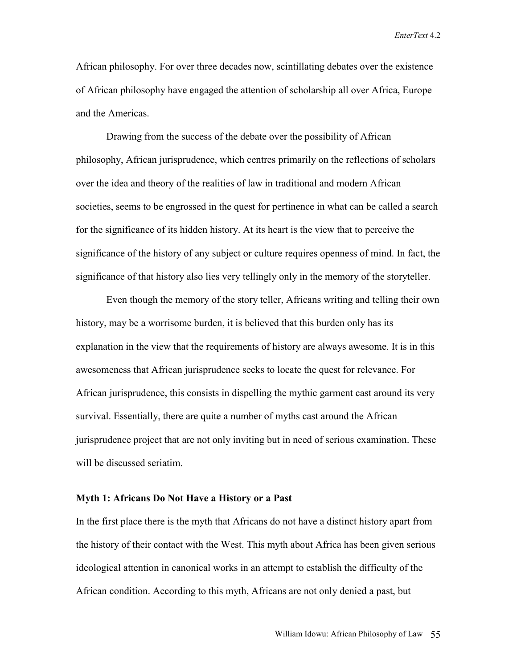African philosophy. For over three decades now, scintillating debates over the existence of African philosophy have engaged the attention of scholarship all over Africa, Europe and the Americas.

Drawing from the success of the debate over the possibility of African philosophy, African jurisprudence, which centres primarily on the reflections of scholars over the idea and theory of the realities of law in traditional and modern African societies, seems to be engrossed in the quest for pertinence in what can be called a search for the significance of its hidden history. At its heart is the view that to perceive the significance of the history of any subject or culture requires openness of mind. In fact, the significance of that history also lies very tellingly only in the memory of the storyteller.

Even though the memory of the story teller, Africans writing and telling their own history, may be a worrisome burden, it is believed that this burden only has its explanation in the view that the requirements of history are always awesome. It is in this awesomeness that African jurisprudence seeks to locate the quest for relevance. For African jurisprudence, this consists in dispelling the mythic garment cast around its very survival. Essentially, there are quite a number of myths cast around the African jurisprudence project that are not only inviting but in need of serious examination. These will be discussed seriatim.

# **Myth 1: Africans Do Not Have a History or a Past**

In the first place there is the myth that Africans do not have a distinct history apart from the history of their contact with the West. This myth about Africa has been given serious ideological attention in canonical works in an attempt to establish the difficulty of the African condition. According to this myth, Africans are not only denied a past, but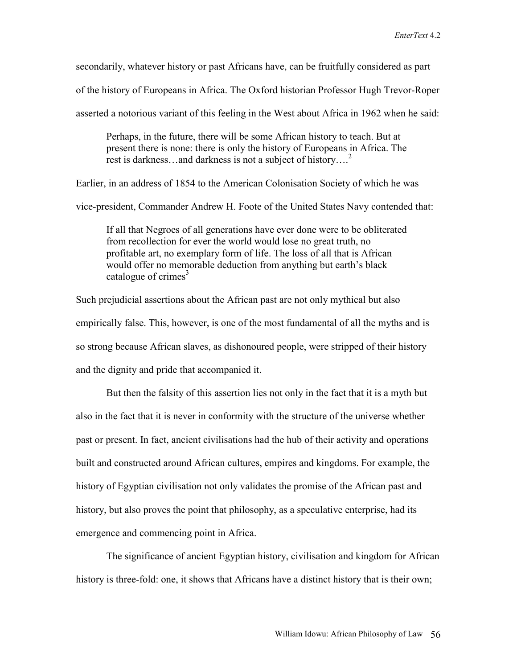secondarily, whatever history or past Africans have, can be fruitfully considered as part

of the history of Europeans in Africa. The Oxford historian Professor Hugh Trevor-Roper

asserted a notorious variant of this feeling in the West about Africa in 1962 when he said:

Perhaps, in the future, there will be some African history to teach. But at present there is none: there is only the history of Europeans in Africa. The rest is darkness…and darkness is not a subject of history....<sup>2</sup>

Earlier, in an address of 1854 to the American Colonisation Society of which he was

vice-president, Commander Andrew H. Foote of the United States Navy contended that:

If all that Negroes of all generations have ever done were to be obliterated from recollection for ever the world would lose no great truth, no profitable art, no exemplary form of life. The loss of all that is African would offer no memorable deduction from anything but earth's black catalogue of crimes $3$ 

Such prejudicial assertions about the African past are not only mythical but also empirically false. This, however, is one of the most fundamental of all the myths and is so strong because African slaves, as dishonoured people, were stripped of their history and the dignity and pride that accompanied it.

But then the falsity of this assertion lies not only in the fact that it is a myth but also in the fact that it is never in conformity with the structure of the universe whether past or present. In fact, ancient civilisations had the hub of their activity and operations built and constructed around African cultures, empires and kingdoms. For example, the history of Egyptian civilisation not only validates the promise of the African past and history, but also proves the point that philosophy, as a speculative enterprise, had its emergence and commencing point in Africa.

The significance of ancient Egyptian history, civilisation and kingdom for African history is three-fold: one, it shows that Africans have a distinct history that is their own;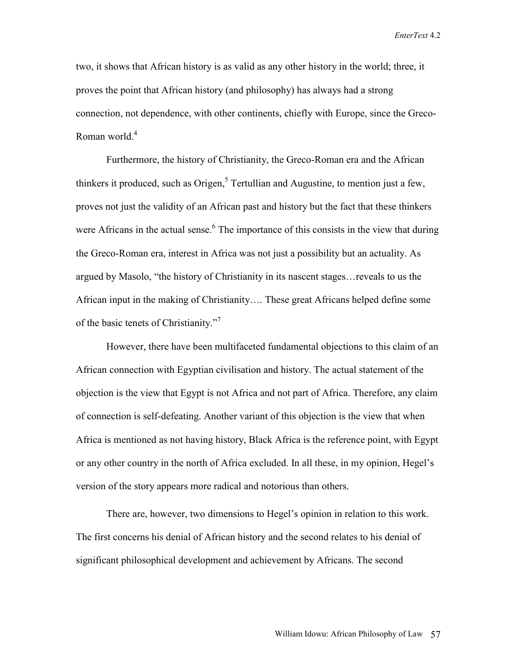two, it shows that African history is as valid as any other history in the world; three, it proves the point that African history (and philosophy) has always had a strong connection, not dependence, with other continents, chiefly with Europe, since the Greco-Roman world.<sup>4</sup>

Furthermore, the history of Christianity, the Greco-Roman era and the African thinkers it produced, such as Origen, $5$  Tertullian and Augustine, to mention just a few, proves not just the validity of an African past and history but the fact that these thinkers were Africans in the actual sense. $6$  The importance of this consists in the view that during the Greco-Roman era, interest in Africa was not just a possibility but an actuality. As argued by Masolo, "the history of Christianity in its nascent stages…reveals to us the African input in the making of Christianity…. These great Africans helped define some of the basic tenets of Christianity."<sup>7</sup>

However, there have been multifaceted fundamental objections to this claim of an African connection with Egyptian civilisation and history. The actual statement of the objection is the view that Egypt is not Africa and not part of Africa. Therefore, any claim of connection is self-defeating. Another variant of this objection is the view that when Africa is mentioned as not having history, Black Africa is the reference point, with Egypt or any other country in the north of Africa excluded. In all these, in my opinion, Hegel's version of the story appears more radical and notorious than others.

There are, however, two dimensions to Hegel's opinion in relation to this work. The first concerns his denial of African history and the second relates to his denial of significant philosophical development and achievement by Africans. The second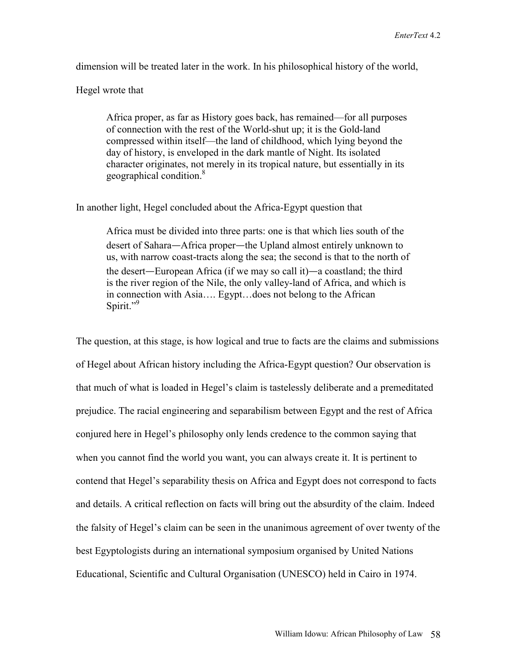dimension will be treated later in the work. In his philosophical history of the world,

Hegel wrote that

Africa proper, as far as History goes back, has remained—for all purposes of connection with the rest of the World-shut up; it is the Gold-land compressed within itself—the land of childhood, which lying beyond the day of history, is enveloped in the dark mantle of Night. Its isolated character originates, not merely in its tropical nature, but essentially in its geographical condition.<sup>8</sup>

In another light, Hegel concluded about the Africa-Egypt question that

Africa must be divided into three parts: one is that which lies south of the desert of Sahara—Africa proper—the Upland almost entirely unknown to us, with narrow coast-tracts along the sea; the second is that to the north of the desert—European Africa (if we may so call it)—a coastland; the third is the river region of the Nile, the only valley-land of Africa, and which is in connection with Asia…. Egypt…does not belong to the African Spirit."<sup>9</sup>

The question, at this stage, is how logical and true to facts are the claims and submissions of Hegel about African history including the Africa-Egypt question? Our observation is that much of what is loaded in Hegel's claim is tastelessly deliberate and a premeditated prejudice. The racial engineering and separabilism between Egypt and the rest of Africa conjured here in Hegel's philosophy only lends credence to the common saying that when you cannot find the world you want, you can always create it. It is pertinent to contend that Hegel's separability thesis on Africa and Egypt does not correspond to facts and details. A critical reflection on facts will bring out the absurdity of the claim. Indeed the falsity of Hegel's claim can be seen in the unanimous agreement of over twenty of the best Egyptologists during an international symposium organised by United Nations Educational, Scientific and Cultural Organisation (UNESCO) held in Cairo in 1974.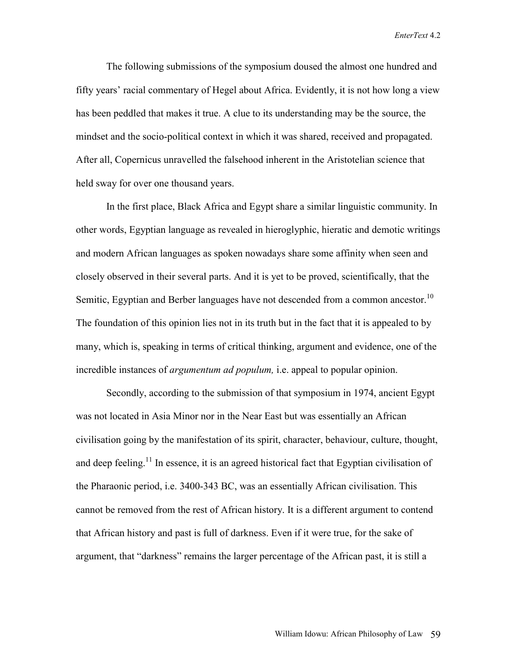The following submissions of the symposium doused the almost one hundred and fifty years' racial commentary of Hegel about Africa. Evidently, it is not how long a view has been peddled that makes it true. A clue to its understanding may be the source, the mindset and the socio-political context in which it was shared, received and propagated. After all, Copernicus unravelled the falsehood inherent in the Aristotelian science that held sway for over one thousand years.

 In the first place, Black Africa and Egypt share a similar linguistic community. In other words, Egyptian language as revealed in hieroglyphic, hieratic and demotic writings and modern African languages as spoken nowadays share some affinity when seen and closely observed in their several parts. And it is yet to be proved, scientifically, that the Semitic, Egyptian and Berber languages have not descended from a common ancestor.<sup>10</sup> The foundation of this opinion lies not in its truth but in the fact that it is appealed to by many, which is, speaking in terms of critical thinking, argument and evidence, one of the incredible instances of *argumentum ad populum,* i.e. appeal to popular opinion.

 Secondly, according to the submission of that symposium in 1974, ancient Egypt was not located in Asia Minor nor in the Near East but was essentially an African civilisation going by the manifestation of its spirit, character, behaviour, culture, thought, and deep feeling.<sup>11</sup> In essence, it is an agreed historical fact that Egyptian civilisation of the Pharaonic period, i.e. 3400-343 BC, was an essentially African civilisation. This cannot be removed from the rest of African history. It is a different argument to contend that African history and past is full of darkness. Even if it were true, for the sake of argument, that "darkness" remains the larger percentage of the African past, it is still a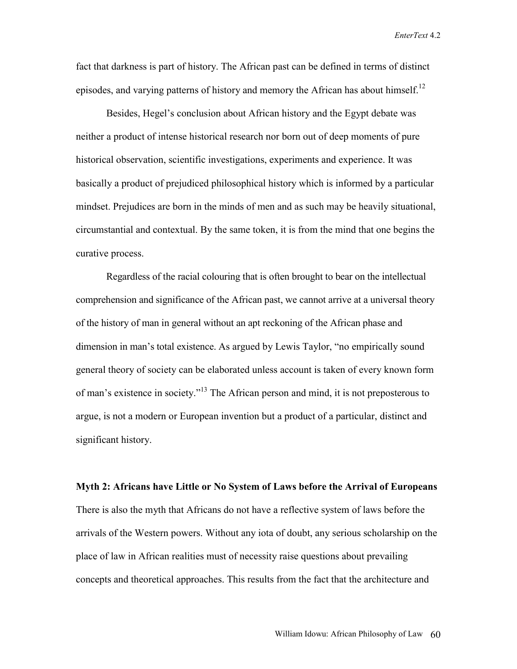fact that darkness is part of history. The African past can be defined in terms of distinct episodes, and varying patterns of history and memory the African has about himself.<sup>12</sup>

 Besides, Hegel's conclusion about African history and the Egypt debate was neither a product of intense historical research nor born out of deep moments of pure historical observation, scientific investigations, experiments and experience. It was basically a product of prejudiced philosophical history which is informed by a particular mindset. Prejudices are born in the minds of men and as such may be heavily situational, circumstantial and contextual. By the same token, it is from the mind that one begins the curative process.

Regardless of the racial colouring that is often brought to bear on the intellectual comprehension and significance of the African past, we cannot arrive at a universal theory of the history of man in general without an apt reckoning of the African phase and dimension in man's total existence. As argued by Lewis Taylor, "no empirically sound general theory of society can be elaborated unless account is taken of every known form of man's existence in society."13 The African person and mind, it is not preposterous to argue, is not a modern or European invention but a product of a particular, distinct and significant history.

**Myth 2: Africans have Little or No System of Laws before the Arrival of Europeans**  There is also the myth that Africans do not have a reflective system of laws before the arrivals of the Western powers. Without any iota of doubt, any serious scholarship on the place of law in African realities must of necessity raise questions about prevailing concepts and theoretical approaches. This results from the fact that the architecture and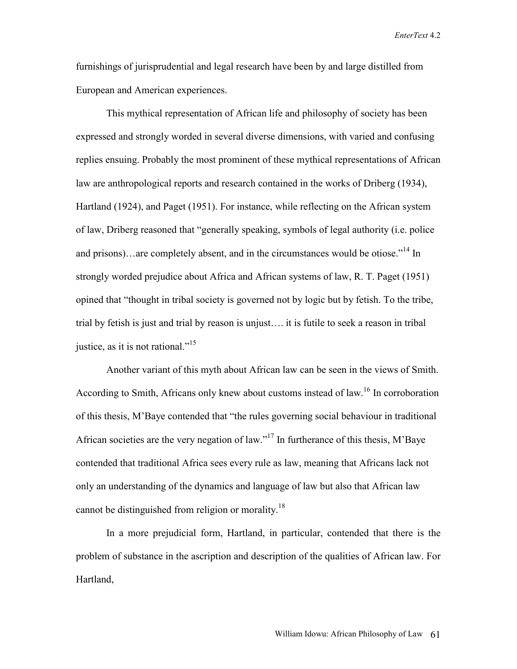furnishings of jurisprudential and legal research have been by and large distilled from European and American experiences.

This mythical representation of African life and philosophy of society has been expressed and strongly worded in several diverse dimensions, with varied and confusing replies ensuing. Probably the most prominent of these mythical representations of African law are anthropological reports and research contained in the works of Driberg (1934), Hartland (1924), and Paget (1951). For instance, while reflecting on the African system of law, Driberg reasoned that "generally speaking, symbols of legal authority (i.e. police and prisons)…are completely absent, and in the circumstances would be otiose."<sup>14</sup> In strongly worded prejudice about Africa and African systems of law, R. T. Paget (1951) opined that "thought in tribal society is governed not by logic but by fetish. To the tribe, trial by fetish is just and trial by reason is unjust…. it is futile to seek a reason in tribal justice, as it is not rational."<sup>15</sup>

 Another variant of this myth about African law can be seen in the views of Smith. According to Smith, Africans only knew about customs instead of law.<sup>16</sup> In corroboration of this thesis, M'Baye contended that "the rules governing social behaviour in traditional African societies are the very negation of law."17 In furtherance of this thesis, M'Baye contended that traditional Africa sees every rule as law, meaning that Africans lack not only an understanding of the dynamics and language of law but also that African law cannot be distinguished from religion or morality.<sup>18</sup>

 In a more prejudicial form, Hartland, in particular, contended that there is the problem of substance in the ascription and description of the qualities of African law. For Hartland,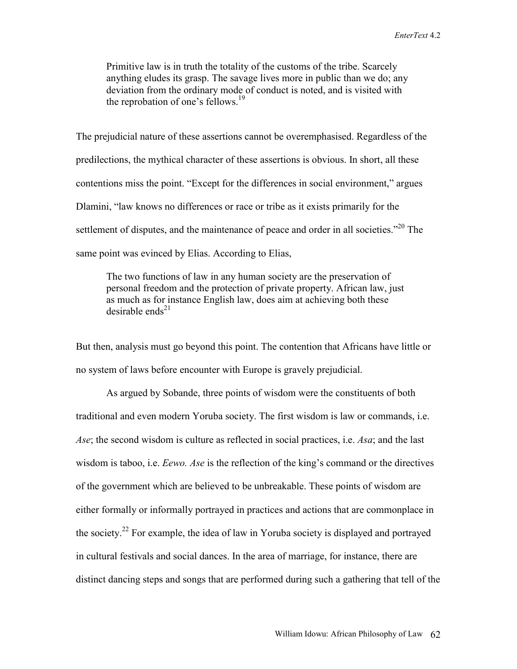Primitive law is in truth the totality of the customs of the tribe. Scarcely anything eludes its grasp. The savage lives more in public than we do; any deviation from the ordinary mode of conduct is noted, and is visited with the reprobation of one's fellows.<sup>19</sup>

The prejudicial nature of these assertions cannot be overemphasised. Regardless of the predilections, the mythical character of these assertions is obvious. In short, all these contentions miss the point. "Except for the differences in social environment," argues Dlamini, "law knows no differences or race or tribe as it exists primarily for the settlement of disputes, and the maintenance of peace and order in all societies.<sup>"20</sup> The same point was evinced by Elias. According to Elias,

The two functions of law in any human society are the preservation of personal freedom and the protection of private property. African law, just as much as for instance English law, does aim at achieving both these desirable ends<sup>21</sup>

But then, analysis must go beyond this point. The contention that Africans have little or no system of laws before encounter with Europe is gravely prejudicial.

As argued by Sobande, three points of wisdom were the constituents of both traditional and even modern Yoruba society. The first wisdom is law or commands, i.e. *Ase*; the second wisdom is culture as reflected in social practices, i.e. *Asa*; and the last wisdom is taboo, i.e. *Eewo. Ase* is the reflection of the king's command or the directives of the government which are believed to be unbreakable. These points of wisdom are either formally or informally portrayed in practices and actions that are commonplace in the society.22 For example, the idea of law in Yoruba society is displayed and portrayed in cultural festivals and social dances. In the area of marriage, for instance, there are distinct dancing steps and songs that are performed during such a gathering that tell of the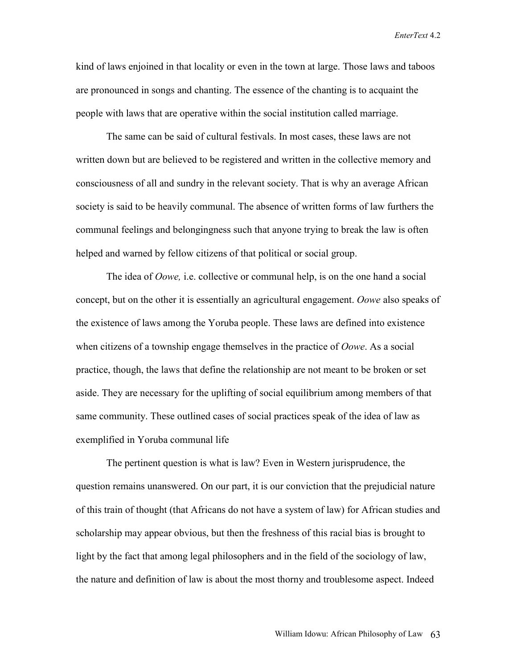kind of laws enjoined in that locality or even in the town at large. Those laws and taboos are pronounced in songs and chanting. The essence of the chanting is to acquaint the people with laws that are operative within the social institution called marriage.

The same can be said of cultural festivals. In most cases, these laws are not written down but are believed to be registered and written in the collective memory and consciousness of all and sundry in the relevant society. That is why an average African society is said to be heavily communal. The absence of written forms of law furthers the communal feelings and belongingness such that anyone trying to break the law is often helped and warned by fellow citizens of that political or social group.

The idea of *Oowe,* i.e. collective or communal help, is on the one hand a social concept, but on the other it is essentially an agricultural engagement. *Oowe* also speaks of the existence of laws among the Yoruba people. These laws are defined into existence when citizens of a township engage themselves in the practice of *Oowe*. As a social practice, though, the laws that define the relationship are not meant to be broken or set aside. They are necessary for the uplifting of social equilibrium among members of that same community. These outlined cases of social practices speak of the idea of law as exemplified in Yoruba communal life

The pertinent question is what is law? Even in Western jurisprudence, the question remains unanswered. On our part, it is our conviction that the prejudicial nature of this train of thought (that Africans do not have a system of law) for African studies and scholarship may appear obvious, but then the freshness of this racial bias is brought to light by the fact that among legal philosophers and in the field of the sociology of law, the nature and definition of law is about the most thorny and troublesome aspect. Indeed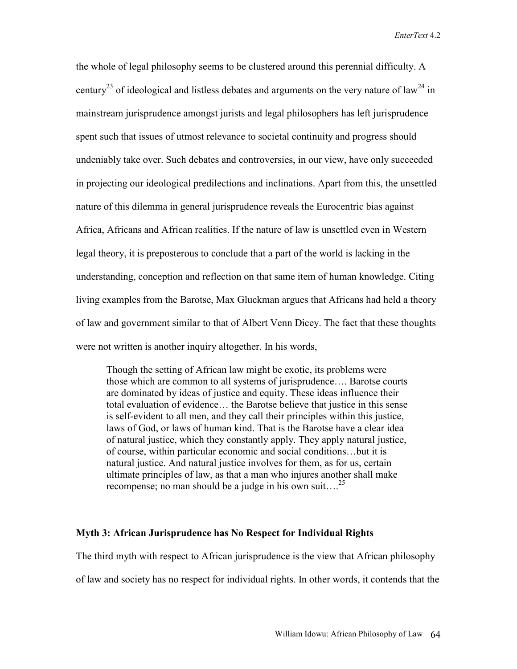the whole of legal philosophy seems to be clustered around this perennial difficulty. A century<sup>23</sup> of ideological and listless debates and arguments on the very nature of law<sup>24</sup> in mainstream jurisprudence amongst jurists and legal philosophers has left jurisprudence spent such that issues of utmost relevance to societal continuity and progress should undeniably take over. Such debates and controversies, in our view, have only succeeded in projecting our ideological predilections and inclinations. Apart from this, the unsettled nature of this dilemma in general jurisprudence reveals the Eurocentric bias against Africa, Africans and African realities. If the nature of law is unsettled even in Western legal theory, it is preposterous to conclude that a part of the world is lacking in the understanding, conception and reflection on that same item of human knowledge. Citing living examples from the Barotse, Max Gluckman argues that Africans had held a theory of law and government similar to that of Albert Venn Dicey. The fact that these thoughts were not written is another inquiry altogether. In his words,

Though the setting of African law might be exotic, its problems were those which are common to all systems of jurisprudence…. Barotse courts are dominated by ideas of justice and equity. These ideas influence their total evaluation of evidence… the Barotse believe that justice in this sense is self-evident to all men, and they call their principles within this justice, laws of God, or laws of human kind. That is the Barotse have a clear idea of natural justice, which they constantly apply. They apply natural justice, of course, within particular economic and social conditions…but it is natural justice. And natural justice involves for them, as for us, certain ultimate principles of law, as that a man who injures another shall make recompense; no man should be a judge in his own suit....<sup>25</sup>

### **Myth 3: African Jurisprudence has No Respect for Individual Rights**

The third myth with respect to African jurisprudence is the view that African philosophy

of law and society has no respect for individual rights. In other words, it contends that the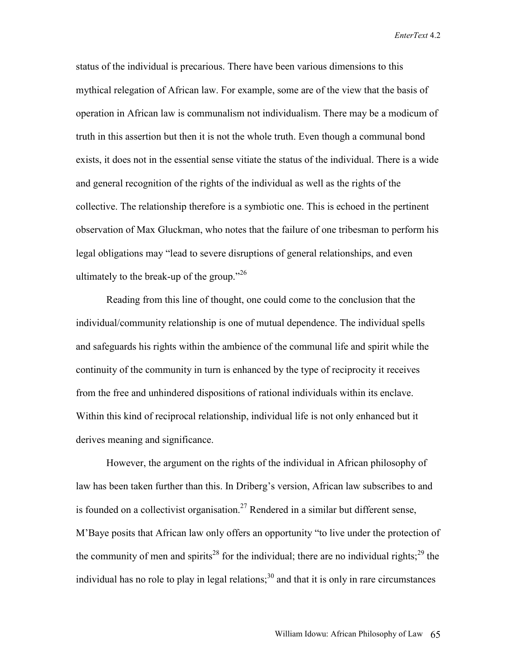status of the individual is precarious. There have been various dimensions to this mythical relegation of African law. For example, some are of the view that the basis of operation in African law is communalism not individualism. There may be a modicum of truth in this assertion but then it is not the whole truth. Even though a communal bond exists, it does not in the essential sense vitiate the status of the individual. There is a wide and general recognition of the rights of the individual as well as the rights of the collective. The relationship therefore is a symbiotic one. This is echoed in the pertinent observation of Max Gluckman, who notes that the failure of one tribesman to perform his legal obligations may "lead to severe disruptions of general relationships, and even ultimately to the break-up of the group." $^{26}$ 

Reading from this line of thought, one could come to the conclusion that the individual/community relationship is one of mutual dependence. The individual spells and safeguards his rights within the ambience of the communal life and spirit while the continuity of the community in turn is enhanced by the type of reciprocity it receives from the free and unhindered dispositions of rational individuals within its enclave. Within this kind of reciprocal relationship, individual life is not only enhanced but it derives meaning and significance.

However, the argument on the rights of the individual in African philosophy of law has been taken further than this. In Driberg's version, African law subscribes to and is founded on a collectivist organisation.<sup>27</sup> Rendered in a similar but different sense, M'Baye posits that African law only offers an opportunity "to live under the protection of the community of men and spirits<sup>28</sup> for the individual; there are no individual rights;<sup>29</sup> the individual has no role to play in legal relations; $30$  and that it is only in rare circumstances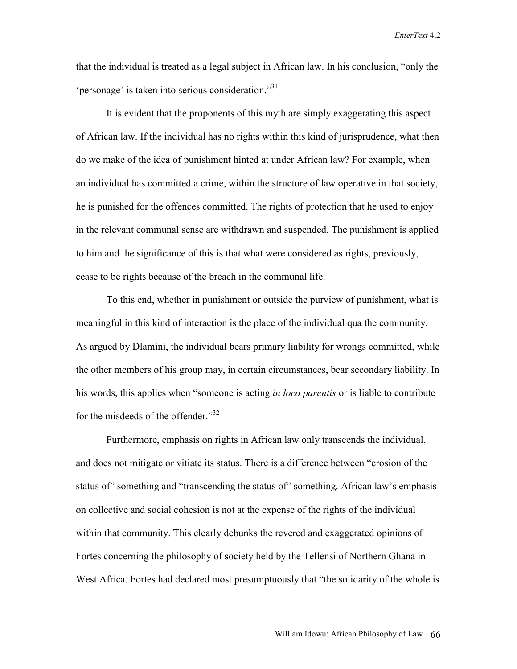that the individual is treated as a legal subject in African law. In his conclusion, "only the 'personage' is taken into serious consideration."31

It is evident that the proponents of this myth are simply exaggerating this aspect of African law. If the individual has no rights within this kind of jurisprudence, what then do we make of the idea of punishment hinted at under African law? For example, when an individual has committed a crime, within the structure of law operative in that society, he is punished for the offences committed. The rights of protection that he used to enjoy in the relevant communal sense are withdrawn and suspended. The punishment is applied to him and the significance of this is that what were considered as rights, previously, cease to be rights because of the breach in the communal life.

To this end, whether in punishment or outside the purview of punishment, what is meaningful in this kind of interaction is the place of the individual qua the community. As argued by Dlamini, the individual bears primary liability for wrongs committed, while the other members of his group may, in certain circumstances, bear secondary liability. In his words, this applies when "someone is acting *in loco parentis* or is liable to contribute for the misdeeds of the offender."<sup>32</sup>

Furthermore, emphasis on rights in African law only transcends the individual, and does not mitigate or vitiate its status. There is a difference between "erosion of the status of" something and "transcending the status of" something. African law's emphasis on collective and social cohesion is not at the expense of the rights of the individual within that community. This clearly debunks the revered and exaggerated opinions of Fortes concerning the philosophy of society held by the Tellensi of Northern Ghana in West Africa. Fortes had declared most presumptuously that "the solidarity of the whole is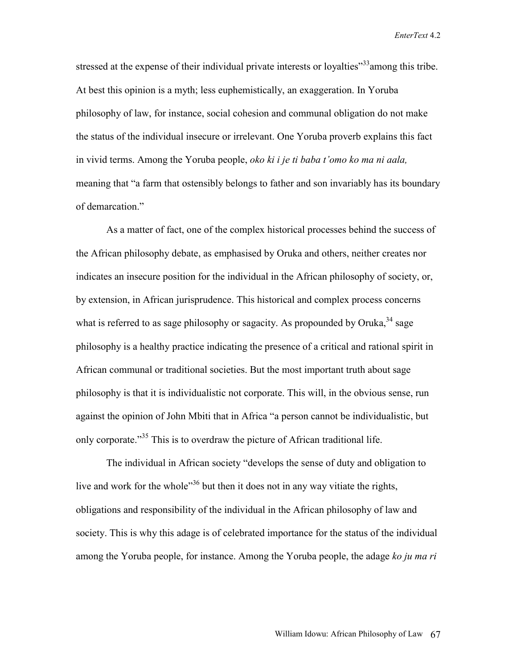stressed at the expense of their individual private interests or loyalties<sup>"33</sup> among this tribe. At best this opinion is a myth; less euphemistically, an exaggeration. In Yoruba philosophy of law, for instance, social cohesion and communal obligation do not make the status of the individual insecure or irrelevant. One Yoruba proverb explains this fact in vivid terms. Among the Yoruba people, *oko ki i je ti baba t'omo ko ma ni aala,* meaning that "a farm that ostensibly belongs to father and son invariably has its boundary of demarcation."

As a matter of fact, one of the complex historical processes behind the success of the African philosophy debate, as emphasised by Oruka and others, neither creates nor indicates an insecure position for the individual in the African philosophy of society, or, by extension, in African jurisprudence. This historical and complex process concerns what is referred to as sage philosophy or sagacity. As propounded by Oruka,  $34$  sage philosophy is a healthy practice indicating the presence of a critical and rational spirit in African communal or traditional societies. But the most important truth about sage philosophy is that it is individualistic not corporate. This will, in the obvious sense, run against the opinion of John Mbiti that in Africa "a person cannot be individualistic, but only corporate."<sup>35</sup> This is to overdraw the picture of African traditional life.

The individual in African society "develops the sense of duty and obligation to live and work for the whole"36 but then it does not in any way vitiate the rights, obligations and responsibility of the individual in the African philosophy of law and society. This is why this adage is of celebrated importance for the status of the individual among the Yoruba people, for instance. Among the Yoruba people, the adage *ko ju ma ri*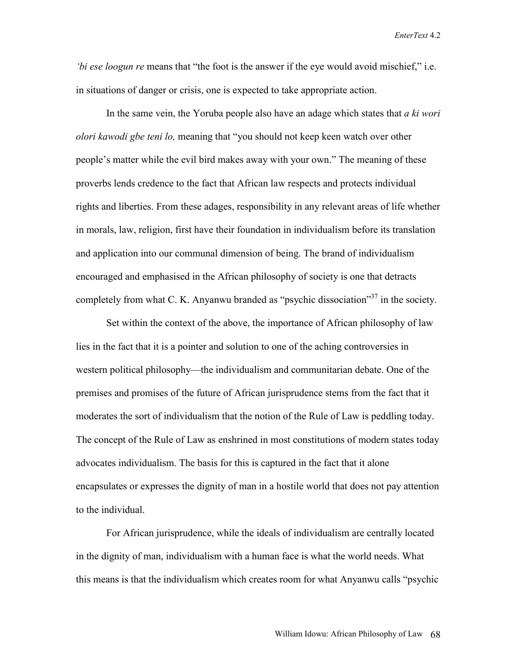*bi ese loogun re* means that "the foot is the answer if the eye would avoid mischief," i.e. in situations of danger or crisis, one is expected to take appropriate action.

In the same vein, the Yoruba people also have an adage which states that *a ki wori olori kawodi gbe teni lo,* meaning that "you should not keep keen watch over other people's matter while the evil bird makes away with your own." The meaning of these proverbs lends credence to the fact that African law respects and protects individual rights and liberties. From these adages, responsibility in any relevant areas of life whether in morals, law, religion, first have their foundation in individualism before its translation and application into our communal dimension of being. The brand of individualism encouraged and emphasised in the African philosophy of society is one that detracts completely from what C. K. Anyanwu branded as "psychic dissociation"<sup>37</sup> in the society.

Set within the context of the above, the importance of African philosophy of law lies in the fact that it is a pointer and solution to one of the aching controversies in western political philosophy—the individualism and communitarian debate. One of the premises and promises of the future of African jurisprudence stems from the fact that it moderates the sort of individualism that the notion of the Rule of Law is peddling today. The concept of the Rule of Law as enshrined in most constitutions of modern states today advocates individualism. The basis for this is captured in the fact that it alone encapsulates or expresses the dignity of man in a hostile world that does not pay attention to the individual.

For African jurisprudence, while the ideals of individualism are centrally located in the dignity of man, individualism with a human face is what the world needs. What this means is that the individualism which creates room for what Anyanwu calls "psychic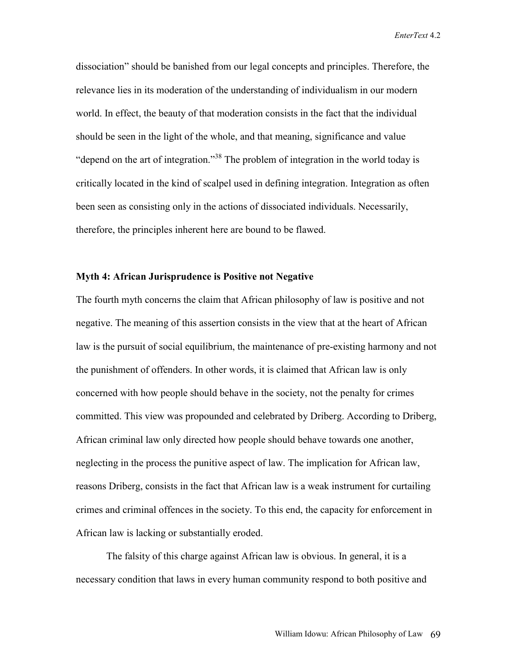dissociation" should be banished from our legal concepts and principles. Therefore, the relevance lies in its moderation of the understanding of individualism in our modern world. In effect, the beauty of that moderation consists in the fact that the individual should be seen in the light of the whole, and that meaning, significance and value "depend on the art of integration."38 The problem of integration in the world today is critically located in the kind of scalpel used in defining integration. Integration as often been seen as consisting only in the actions of dissociated individuals. Necessarily, therefore, the principles inherent here are bound to be flawed.

## **Myth 4: African Jurisprudence is Positive not Negative**

The fourth myth concerns the claim that African philosophy of law is positive and not negative. The meaning of this assertion consists in the view that at the heart of African law is the pursuit of social equilibrium, the maintenance of pre-existing harmony and not the punishment of offenders. In other words, it is claimed that African law is only concerned with how people should behave in the society, not the penalty for crimes committed. This view was propounded and celebrated by Driberg. According to Driberg, African criminal law only directed how people should behave towards one another, neglecting in the process the punitive aspect of law. The implication for African law, reasons Driberg, consists in the fact that African law is a weak instrument for curtailing crimes and criminal offences in the society. To this end, the capacity for enforcement in African law is lacking or substantially eroded.

The falsity of this charge against African law is obvious. In general, it is a necessary condition that laws in every human community respond to both positive and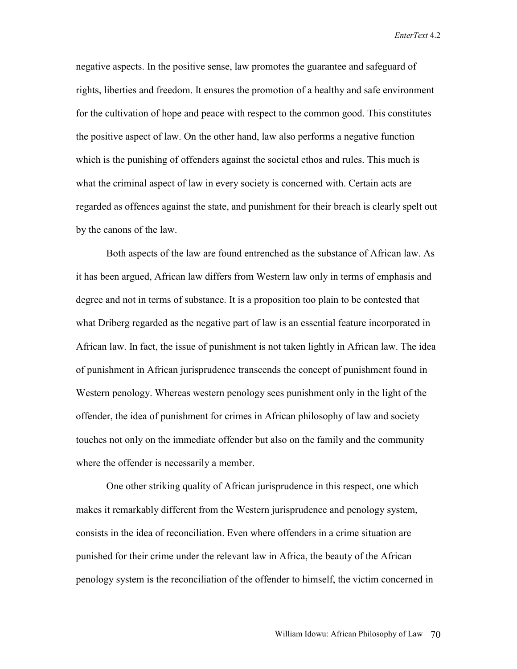negative aspects. In the positive sense, law promotes the guarantee and safeguard of rights, liberties and freedom. It ensures the promotion of a healthy and safe environment for the cultivation of hope and peace with respect to the common good. This constitutes the positive aspect of law. On the other hand, law also performs a negative function which is the punishing of offenders against the societal ethos and rules. This much is what the criminal aspect of law in every society is concerned with. Certain acts are regarded as offences against the state, and punishment for their breach is clearly spelt out by the canons of the law.

Both aspects of the law are found entrenched as the substance of African law. As it has been argued, African law differs from Western law only in terms of emphasis and degree and not in terms of substance. It is a proposition too plain to be contested that what Driberg regarded as the negative part of law is an essential feature incorporated in African law. In fact, the issue of punishment is not taken lightly in African law. The idea of punishment in African jurisprudence transcends the concept of punishment found in Western penology. Whereas western penology sees punishment only in the light of the offender, the idea of punishment for crimes in African philosophy of law and society touches not only on the immediate offender but also on the family and the community where the offender is necessarily a member.

One other striking quality of African jurisprudence in this respect, one which makes it remarkably different from the Western jurisprudence and penology system, consists in the idea of reconciliation. Even where offenders in a crime situation are punished for their crime under the relevant law in Africa, the beauty of the African penology system is the reconciliation of the offender to himself, the victim concerned in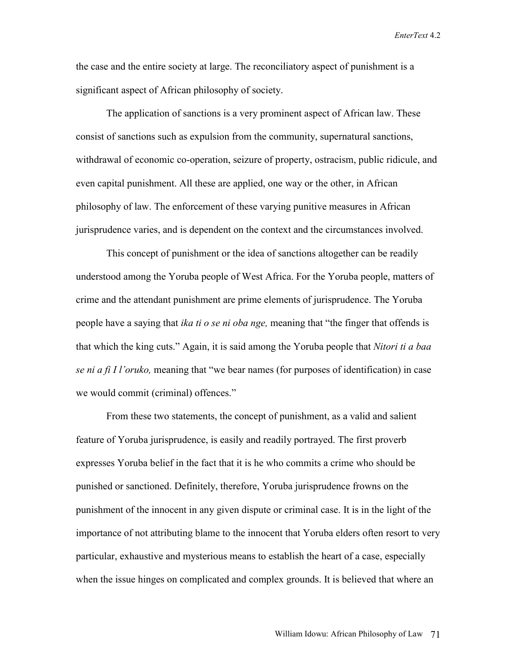the case and the entire society at large. The reconciliatory aspect of punishment is a significant aspect of African philosophy of society.

The application of sanctions is a very prominent aspect of African law. These consist of sanctions such as expulsion from the community, supernatural sanctions, withdrawal of economic co-operation, seizure of property, ostracism, public ridicule, and even capital punishment. All these are applied, one way or the other, in African philosophy of law. The enforcement of these varying punitive measures in African jurisprudence varies, and is dependent on the context and the circumstances involved.

This concept of punishment or the idea of sanctions altogether can be readily understood among the Yoruba people of West Africa. For the Yoruba people, matters of crime and the attendant punishment are prime elements of jurisprudence. The Yoruba people have a saying that *ika ti o se ni oba nge,* meaning that "the finger that offends is that which the king cuts." Again, it is said among the Yoruba people that *Nitori ti a baa se ni a fi I l'oruko,* meaning that "we bear names (for purposes of identification) in case we would commit (criminal) offences."

From these two statements, the concept of punishment, as a valid and salient feature of Yoruba jurisprudence, is easily and readily portrayed. The first proverb expresses Yoruba belief in the fact that it is he who commits a crime who should be punished or sanctioned. Definitely, therefore, Yoruba jurisprudence frowns on the punishment of the innocent in any given dispute or criminal case. It is in the light of the importance of not attributing blame to the innocent that Yoruba elders often resort to very particular, exhaustive and mysterious means to establish the heart of a case, especially when the issue hinges on complicated and complex grounds. It is believed that where an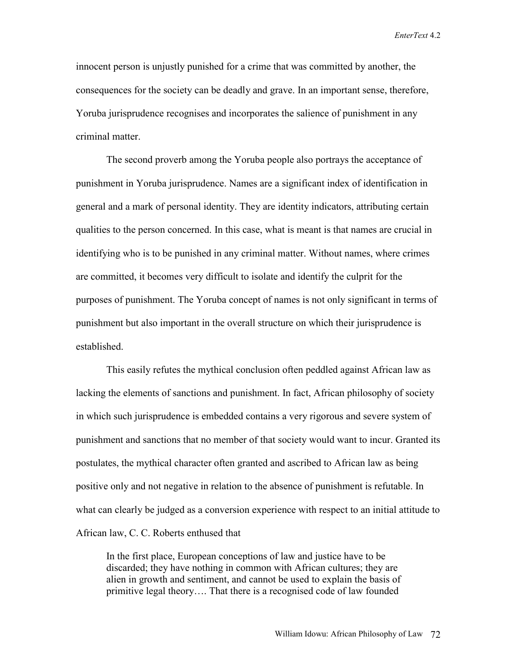innocent person is unjustly punished for a crime that was committed by another, the consequences for the society can be deadly and grave. In an important sense, therefore, Yoruba jurisprudence recognises and incorporates the salience of punishment in any criminal matter.

The second proverb among the Yoruba people also portrays the acceptance of punishment in Yoruba jurisprudence. Names are a significant index of identification in general and a mark of personal identity. They are identity indicators, attributing certain qualities to the person concerned. In this case, what is meant is that names are crucial in identifying who is to be punished in any criminal matter. Without names, where crimes are committed, it becomes very difficult to isolate and identify the culprit for the purposes of punishment. The Yoruba concept of names is not only significant in terms of punishment but also important in the overall structure on which their jurisprudence is established.

This easily refutes the mythical conclusion often peddled against African law as lacking the elements of sanctions and punishment. In fact, African philosophy of society in which such jurisprudence is embedded contains a very rigorous and severe system of punishment and sanctions that no member of that society would want to incur. Granted its postulates, the mythical character often granted and ascribed to African law as being positive only and not negative in relation to the absence of punishment is refutable. In what can clearly be judged as a conversion experience with respect to an initial attitude to African law, C. C. Roberts enthused that

In the first place, European conceptions of law and justice have to be discarded; they have nothing in common with African cultures; they are alien in growth and sentiment, and cannot be used to explain the basis of primitive legal theory…. That there is a recognised code of law founded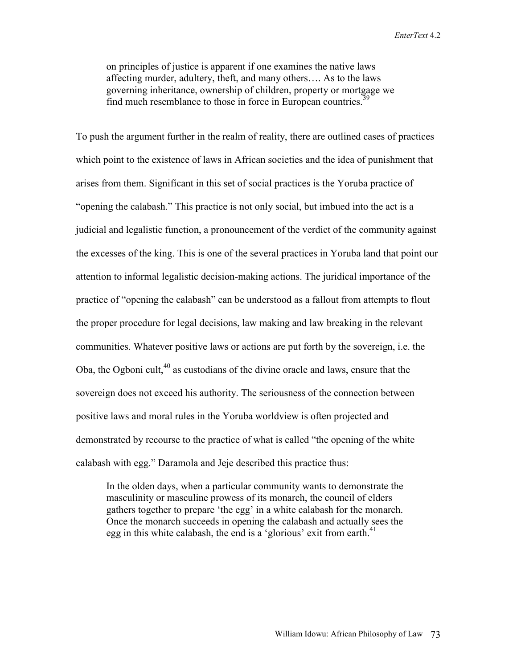on principles of justice is apparent if one examines the native laws affecting murder, adultery, theft, and many others…. As to the laws governing inheritance, ownership of children, property or mortgage we find much resemblance to those in force in European countries.<sup>39</sup>

To push the argument further in the realm of reality, there are outlined cases of practices which point to the existence of laws in African societies and the idea of punishment that arises from them. Significant in this set of social practices is the Yoruba practice of "opening the calabash." This practice is not only social, but imbued into the act is a judicial and legalistic function, a pronouncement of the verdict of the community against the excesses of the king. This is one of the several practices in Yoruba land that point our attention to informal legalistic decision-making actions. The juridical importance of the practice of "opening the calabash" can be understood as a fallout from attempts to flout the proper procedure for legal decisions, law making and law breaking in the relevant communities. Whatever positive laws or actions are put forth by the sovereign, i.e. the Oba, the Ogboni cult, $40$  as custodians of the divine oracle and laws, ensure that the sovereign does not exceed his authority. The seriousness of the connection between positive laws and moral rules in the Yoruba worldview is often projected and demonstrated by recourse to the practice of what is called "the opening of the white calabash with egg." Daramola and Jeje described this practice thus:

In the olden days, when a particular community wants to demonstrate the masculinity or masculine prowess of its monarch, the council of elders gathers together to prepare 'the egg' in a white calabash for the monarch. Once the monarch succeeds in opening the calabash and actually sees the egg in this white calabash, the end is a 'glorious' exit from earth.<sup>41</sup>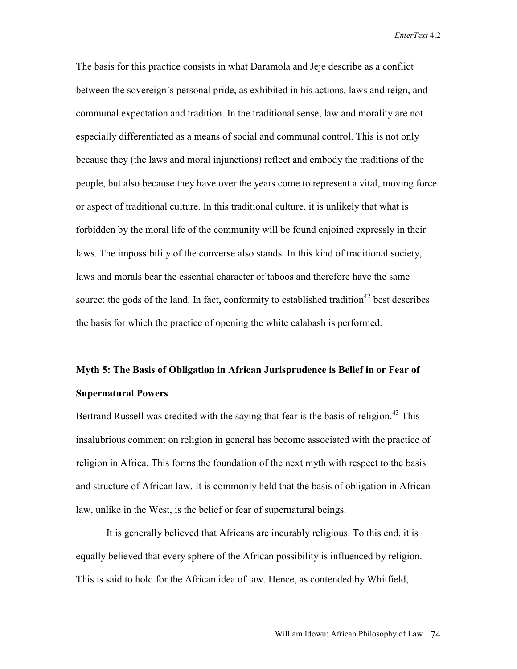The basis for this practice consists in what Daramola and Jeje describe as a conflict between the sovereign's personal pride, as exhibited in his actions, laws and reign, and communal expectation and tradition. In the traditional sense, law and morality are not especially differentiated as a means of social and communal control. This is not only because they (the laws and moral injunctions) reflect and embody the traditions of the people, but also because they have over the years come to represent a vital, moving force or aspect of traditional culture. In this traditional culture, it is unlikely that what is forbidden by the moral life of the community will be found enjoined expressly in their laws. The impossibility of the converse also stands. In this kind of traditional society, laws and morals bear the essential character of taboos and therefore have the same source: the gods of the land. In fact, conformity to established tradition<sup>42</sup> best describes the basis for which the practice of opening the white calabash is performed.

# **Myth 5: The Basis of Obligation in African Jurisprudence is Belief in or Fear of Supernatural Powers**

Bertrand Russell was credited with the saying that fear is the basis of religion.<sup>43</sup> This insalubrious comment on religion in general has become associated with the practice of religion in Africa. This forms the foundation of the next myth with respect to the basis and structure of African law. It is commonly held that the basis of obligation in African law, unlike in the West, is the belief or fear of supernatural beings.

It is generally believed that Africans are incurably religious. To this end, it is equally believed that every sphere of the African possibility is influenced by religion. This is said to hold for the African idea of law. Hence, as contended by Whitfield,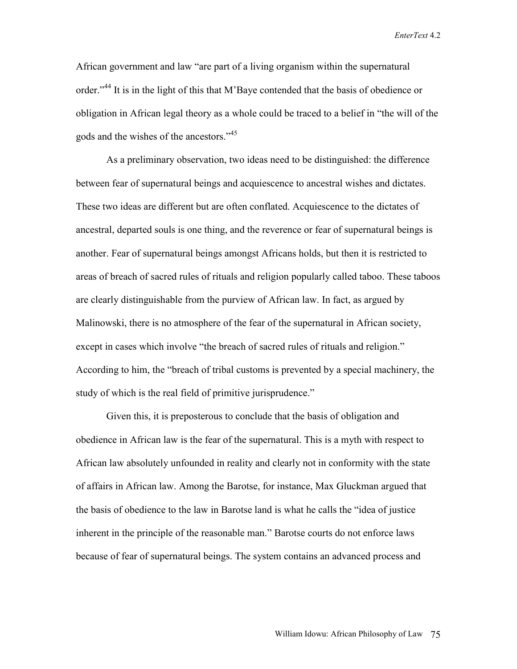African government and law "are part of a living organism within the supernatural order."<sup>44</sup> It is in the light of this that M'Baye contended that the basis of obedience or obligation in African legal theory as a whole could be traced to a belief in "the will of the gods and the wishes of the ancestors."45

As a preliminary observation, two ideas need to be distinguished: the difference between fear of supernatural beings and acquiescence to ancestral wishes and dictates. These two ideas are different but are often conflated. Acquiescence to the dictates of ancestral, departed souls is one thing, and the reverence or fear of supernatural beings is another. Fear of supernatural beings amongst Africans holds, but then it is restricted to areas of breach of sacred rules of rituals and religion popularly called taboo. These taboos are clearly distinguishable from the purview of African law. In fact, as argued by Malinowski, there is no atmosphere of the fear of the supernatural in African society, except in cases which involve "the breach of sacred rules of rituals and religion." According to him, the "breach of tribal customs is prevented by a special machinery, the study of which is the real field of primitive jurisprudence."

Given this, it is preposterous to conclude that the basis of obligation and obedience in African law is the fear of the supernatural. This is a myth with respect to African law absolutely unfounded in reality and clearly not in conformity with the state of affairs in African law. Among the Barotse, for instance, Max Gluckman argued that the basis of obedience to the law in Barotse land is what he calls the "idea of justice inherent in the principle of the reasonable man." Barotse courts do not enforce laws because of fear of supernatural beings. The system contains an advanced process and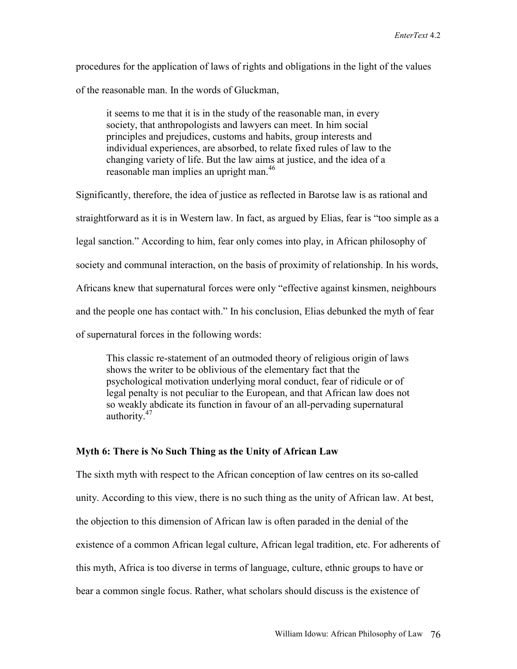procedures for the application of laws of rights and obligations in the light of the values of the reasonable man. In the words of Gluckman,

it seems to me that it is in the study of the reasonable man, in every society, that anthropologists and lawyers can meet. In him social principles and prejudices, customs and habits, group interests and individual experiences, are absorbed, to relate fixed rules of law to the changing variety of life. But the law aims at justice, and the idea of a reasonable man implies an upright man.<sup>46</sup>

Significantly, therefore, the idea of justice as reflected in Barotse law is as rational and straightforward as it is in Western law. In fact, as argued by Elias, fear is "too simple as a legal sanction." According to him, fear only comes into play, in African philosophy of society and communal interaction, on the basis of proximity of relationship. In his words, Africans knew that supernatural forces were only "effective against kinsmen, neighbours and the people one has contact with." In his conclusion, Elias debunked the myth of fear of supernatural forces in the following words:

This classic re-statement of an outmoded theory of religious origin of laws shows the writer to be oblivious of the elementary fact that the psychological motivation underlying moral conduct, fear of ridicule or of legal penalty is not peculiar to the European, and that African law does not so weakly abdicate its function in favour of an all-pervading supernatural authority.<sup>47</sup>

# **Myth 6: There is No Such Thing as the Unity of African Law**

The sixth myth with respect to the African conception of law centres on its so-called unity. According to this view, there is no such thing as the unity of African law. At best, the objection to this dimension of African law is often paraded in the denial of the existence of a common African legal culture, African legal tradition, etc. For adherents of this myth, Africa is too diverse in terms of language, culture, ethnic groups to have or bear a common single focus. Rather, what scholars should discuss is the existence of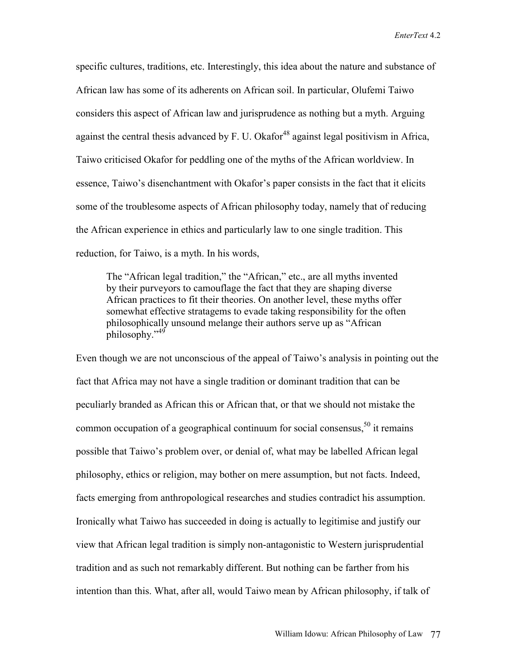specific cultures, traditions, etc. Interestingly, this idea about the nature and substance of African law has some of its adherents on African soil. In particular, Olufemi Taiwo considers this aspect of African law and jurisprudence as nothing but a myth. Arguing against the central thesis advanced by F. U. Okafor<sup>48</sup> against legal positivism in Africa, Taiwo criticised Okafor for peddling one of the myths of the African worldview. In essence, Taiwo's disenchantment with Okafor's paper consists in the fact that it elicits some of the troublesome aspects of African philosophy today, namely that of reducing the African experience in ethics and particularly law to one single tradition. This reduction, for Taiwo, is a myth. In his words,

The "African legal tradition," the "African," etc., are all myths invented by their purveyors to camouflage the fact that they are shaping diverse African practices to fit their theories. On another level, these myths offer somewhat effective stratagems to evade taking responsibility for the often philosophically unsound melange their authors serve up as "African philosophy."<sup>49</sup>

Even though we are not unconscious of the appeal of Taiwo's analysis in pointing out the fact that Africa may not have a single tradition or dominant tradition that can be peculiarly branded as African this or African that, or that we should not mistake the common occupation of a geographical continuum for social consensus,  $50$  it remains possible that Taiwo's problem over, or denial of, what may be labelled African legal philosophy, ethics or religion, may bother on mere assumption, but not facts. Indeed, facts emerging from anthropological researches and studies contradict his assumption. Ironically what Taiwo has succeeded in doing is actually to legitimise and justify our view that African legal tradition is simply non-antagonistic to Western jurisprudential tradition and as such not remarkably different. But nothing can be farther from his intention than this. What, after all, would Taiwo mean by African philosophy, if talk of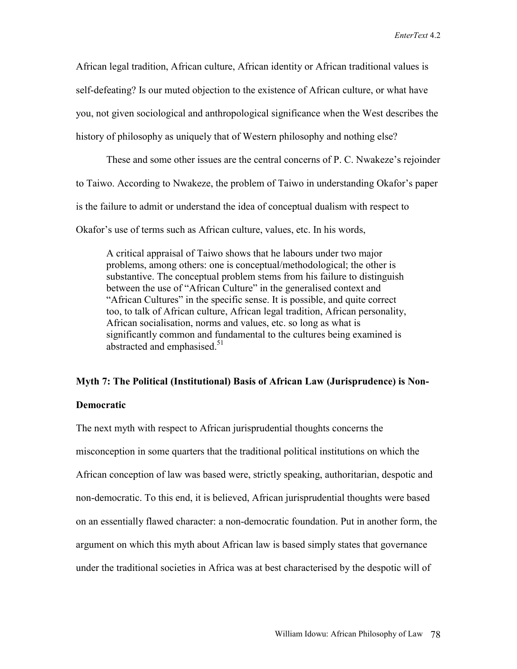African legal tradition, African culture, African identity or African traditional values is self-defeating? Is our muted objection to the existence of African culture, or what have you, not given sociological and anthropological significance when the West describes the history of philosophy as uniquely that of Western philosophy and nothing else?

These and some other issues are the central concerns of P. C. Nwakeze's rejoinder to Taiwo. According to Nwakeze, the problem of Taiwo in understanding Okafor's paper is the failure to admit or understand the idea of conceptual dualism with respect to Okafor's use of terms such as African culture, values, etc. In his words,

A critical appraisal of Taiwo shows that he labours under two major problems, among others: one is conceptual/methodological; the other is substantive. The conceptual problem stems from his failure to distinguish between the use of "African Culture" in the generalised context and "African Cultures" in the specific sense. It is possible, and quite correct too, to talk of African culture, African legal tradition, African personality, African socialisation, norms and values, etc. so long as what is significantly common and fundamental to the cultures being examined is abstracted and emphasised.<sup>51</sup>

### **Myth 7: The Political (Institutional) Basis of African Law (Jurisprudence) is Non-**

# **Democratic**

The next myth with respect to African jurisprudential thoughts concerns the misconception in some quarters that the traditional political institutions on which the African conception of law was based were, strictly speaking, authoritarian, despotic and non-democratic. To this end, it is believed, African jurisprudential thoughts were based on an essentially flawed character: a non-democratic foundation. Put in another form, the argument on which this myth about African law is based simply states that governance under the traditional societies in Africa was at best characterised by the despotic will of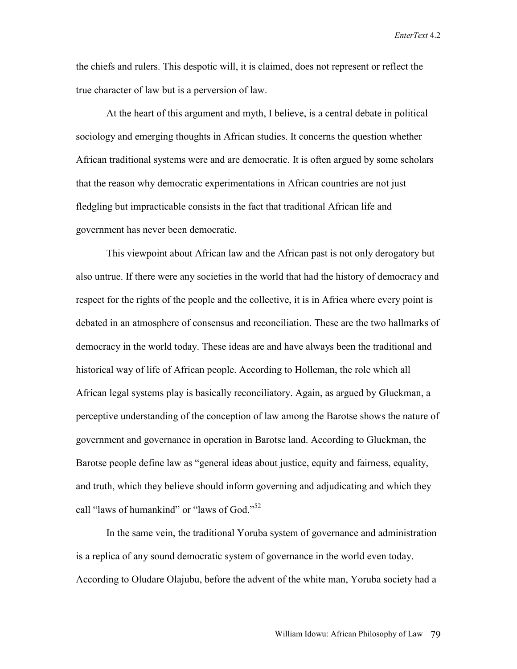the chiefs and rulers. This despotic will, it is claimed, does not represent or reflect the true character of law but is a perversion of law.

At the heart of this argument and myth, I believe, is a central debate in political sociology and emerging thoughts in African studies. It concerns the question whether African traditional systems were and are democratic. It is often argued by some scholars that the reason why democratic experimentations in African countries are not just fledgling but impracticable consists in the fact that traditional African life and government has never been democratic.

This viewpoint about African law and the African past is not only derogatory but also untrue. If there were any societies in the world that had the history of democracy and respect for the rights of the people and the collective, it is in Africa where every point is debated in an atmosphere of consensus and reconciliation. These are the two hallmarks of democracy in the world today. These ideas are and have always been the traditional and historical way of life of African people. According to Holleman, the role which all African legal systems play is basically reconciliatory. Again, as argued by Gluckman, a perceptive understanding of the conception of law among the Barotse shows the nature of government and governance in operation in Barotse land. According to Gluckman, the Barotse people define law as "general ideas about justice, equity and fairness, equality, and truth, which they believe should inform governing and adjudicating and which they call "laws of humankind" or "laws of God."<sup>52</sup>

 In the same vein, the traditional Yoruba system of governance and administration is a replica of any sound democratic system of governance in the world even today. According to Oludare Olajubu, before the advent of the white man, Yoruba society had a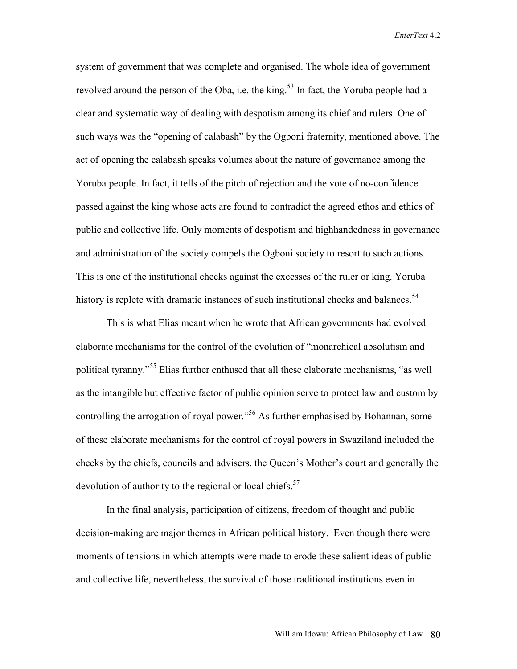system of government that was complete and organised. The whole idea of government revolved around the person of the Oba, i.e. the king.<sup>53</sup> In fact, the Yoruba people had a clear and systematic way of dealing with despotism among its chief and rulers. One of such ways was the "opening of calabash" by the Ogboni fraternity, mentioned above. The act of opening the calabash speaks volumes about the nature of governance among the Yoruba people. In fact, it tells of the pitch of rejection and the vote of no-confidence passed against the king whose acts are found to contradict the agreed ethos and ethics of public and collective life. Only moments of despotism and highhandedness in governance and administration of the society compels the Ogboni society to resort to such actions. This is one of the institutional checks against the excesses of the ruler or king. Yoruba history is replete with dramatic instances of such institutional checks and balances.<sup>54</sup>

This is what Elias meant when he wrote that African governments had evolved elaborate mechanisms for the control of the evolution of "monarchical absolutism and political tyranny."55 Elias further enthused that all these elaborate mechanisms, "as well as the intangible but effective factor of public opinion serve to protect law and custom by controlling the arrogation of royal power.<sup>56</sup> As further emphasised by Bohannan, some of these elaborate mechanisms for the control of royal powers in Swaziland included the checks by the chiefs, councils and advisers, the Queen's Mother's court and generally the devolution of authority to the regional or local chiefs.<sup>57</sup>

In the final analysis, participation of citizens, freedom of thought and public decision-making are major themes in African political history. Even though there were moments of tensions in which attempts were made to erode these salient ideas of public and collective life, nevertheless, the survival of those traditional institutions even in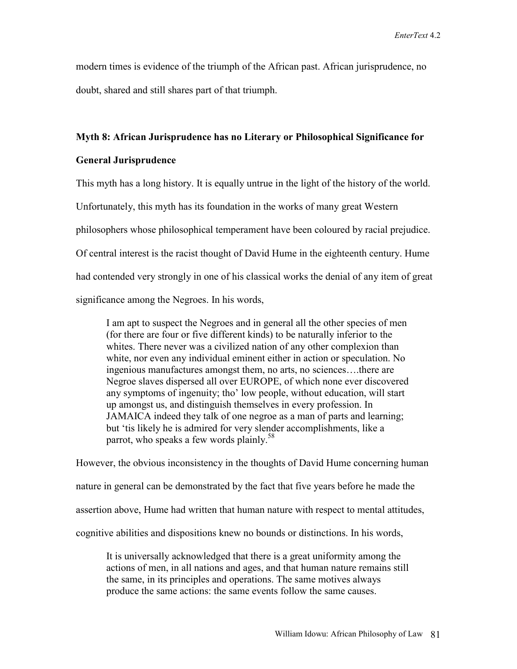modern times is evidence of the triumph of the African past. African jurisprudence, no doubt, shared and still shares part of that triumph.

## **Myth 8: African Jurisprudence has no Literary or Philosophical Significance for**

# **General Jurisprudence**

This myth has a long history. It is equally untrue in the light of the history of the world.

Unfortunately, this myth has its foundation in the works of many great Western

philosophers whose philosophical temperament have been coloured by racial prejudice.

Of central interest is the racist thought of David Hume in the eighteenth century. Hume

had contended very strongly in one of his classical works the denial of any item of great

significance among the Negroes. In his words,

I am apt to suspect the Negroes and in general all the other species of men (for there are four or five different kinds) to be naturally inferior to the whites. There never was a civilized nation of any other complexion than white, nor even any individual eminent either in action or speculation. No ingenious manufactures amongst them, no arts, no sciences….there are Negroe slaves dispersed all over EUROPE, of which none ever discovered any symptoms of ingenuity; tho' low people, without education, will start up amongst us, and distinguish themselves in every profession. In JAMAICA indeed they talk of one negroe as a man of parts and learning; but 'tis likely he is admired for very slender accomplishments, like a parrot, who speaks a few words plainly.<sup>58</sup>

However, the obvious inconsistency in the thoughts of David Hume concerning human nature in general can be demonstrated by the fact that five years before he made the assertion above, Hume had written that human nature with respect to mental attitudes, cognitive abilities and dispositions knew no bounds or distinctions. In his words,

It is universally acknowledged that there is a great uniformity among the actions of men, in all nations and ages, and that human nature remains still the same, in its principles and operations. The same motives always produce the same actions: the same events follow the same causes.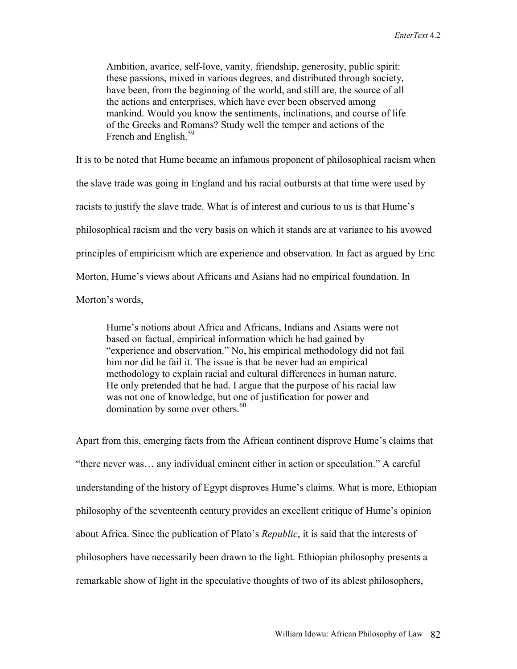Ambition, avarice, self-love, vanity, friendship, generosity, public spirit: these passions, mixed in various degrees, and distributed through society, have been, from the beginning of the world, and still are, the source of all the actions and enterprises, which have ever been observed among mankind. Would you know the sentiments, inclinations, and course of life of the Greeks and Romans? Study well the temper and actions of the French and English.<sup>59</sup>

It is to be noted that Hume became an infamous proponent of philosophical racism when the slave trade was going in England and his racial outbursts at that time were used by racists to justify the slave trade. What is of interest and curious to us is that Hume's philosophical racism and the very basis on which it stands are at variance to his avowed principles of empiricism which are experience and observation. In fact as argued by Eric Morton, Hume's views about Africans and Asians had no empirical foundation. In Morton's words,

Hume's notions about Africa and Africans, Indians and Asians were not based on factual, empirical information which he had gained by "experience and observation." No, his empirical methodology did not fail him nor did he fail it. The issue is that he never had an empirical methodology to explain racial and cultural differences in human nature. He only pretended that he had. I argue that the purpose of his racial law was not one of knowledge, but one of justification for power and domination by some over others.<sup>60</sup>

Apart from this, emerging facts from the African continent disprove Hume's claims that "there never was… any individual eminent either in action or speculation." A careful understanding of the history of Egypt disproves Hume's claims. What is more, Ethiopian philosophy of the seventeenth century provides an excellent critique of Hume's opinion about Africa. Since the publication of Plato's *Republic*, it is said that the interests of philosophers have necessarily been drawn to the light. Ethiopian philosophy presents a remarkable show of light in the speculative thoughts of two of its ablest philosophers,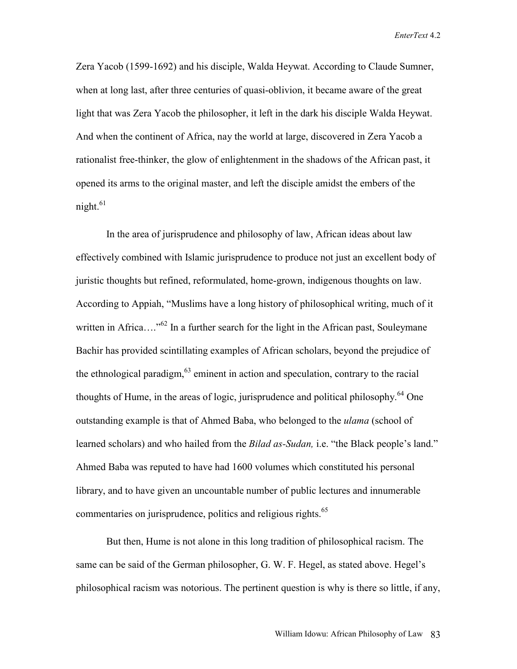Zera Yacob (1599-1692) and his disciple, Walda Heywat. According to Claude Sumner, when at long last, after three centuries of quasi-oblivion, it became aware of the great light that was Zera Yacob the philosopher, it left in the dark his disciple Walda Heywat. And when the continent of Africa, nay the world at large, discovered in Zera Yacob a rationalist free-thinker, the glow of enlightenment in the shadows of the African past, it opened its arms to the original master, and left the disciple amidst the embers of the night.<sup>61</sup>

In the area of jurisprudence and philosophy of law, African ideas about law effectively combined with Islamic jurisprudence to produce not just an excellent body of juristic thoughts but refined, reformulated, home-grown, indigenous thoughts on law. According to Appiah, "Muslims have a long history of philosophical writing, much of it written in Africa....<sup>562</sup> In a further search for the light in the African past, Souleymane Bachir has provided scintillating examples of African scholars, beyond the prejudice of the ethnological paradigm,  $63$  eminent in action and speculation, contrary to the racial thoughts of Hume, in the areas of logic, jurisprudence and political philosophy.<sup>64</sup> One outstanding example is that of Ahmed Baba, who belonged to the *ulama* (school of learned scholars) and who hailed from the *Bilad as-Sudan,* i.e. "the Black people's land." Ahmed Baba was reputed to have had 1600 volumes which constituted his personal library, and to have given an uncountable number of public lectures and innumerable commentaries on jurisprudence, politics and religious rights.<sup>65</sup>

But then, Hume is not alone in this long tradition of philosophical racism. The same can be said of the German philosopher, G. W. F. Hegel, as stated above. Hegel's philosophical racism was notorious. The pertinent question is why is there so little, if any,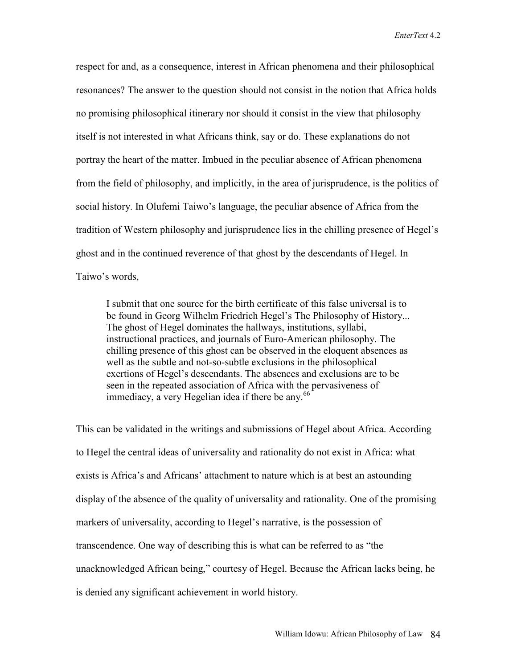respect for and, as a consequence, interest in African phenomena and their philosophical resonances? The answer to the question should not consist in the notion that Africa holds no promising philosophical itinerary nor should it consist in the view that philosophy itself is not interested in what Africans think, say or do. These explanations do not portray the heart of the matter. Imbued in the peculiar absence of African phenomena from the field of philosophy, and implicitly, in the area of jurisprudence, is the politics of social history. In Olufemi Taiwo's language, the peculiar absence of Africa from the tradition of Western philosophy and jurisprudence lies in the chilling presence of Hegel's ghost and in the continued reverence of that ghost by the descendants of Hegel. In Taiwo's words,

I submit that one source for the birth certificate of this false universal is to be found in Georg Wilhelm Friedrich Hegel's The Philosophy of History... The ghost of Hegel dominates the hallways, institutions, syllabi, instructional practices, and journals of Euro-American philosophy. The chilling presence of this ghost can be observed in the eloquent absences as well as the subtle and not-so-subtle exclusions in the philosophical exertions of Hegel's descendants. The absences and exclusions are to be seen in the repeated association of Africa with the pervasiveness of immediacy, a very Hegelian idea if there be any. $66$ 

This can be validated in the writings and submissions of Hegel about Africa. According to Hegel the central ideas of universality and rationality do not exist in Africa: what exists is Africa's and Africans' attachment to nature which is at best an astounding display of the absence of the quality of universality and rationality. One of the promising markers of universality, according to Hegel's narrative, is the possession of transcendence. One way of describing this is what can be referred to as "the unacknowledged African being," courtesy of Hegel. Because the African lacks being, he is denied any significant achievement in world history.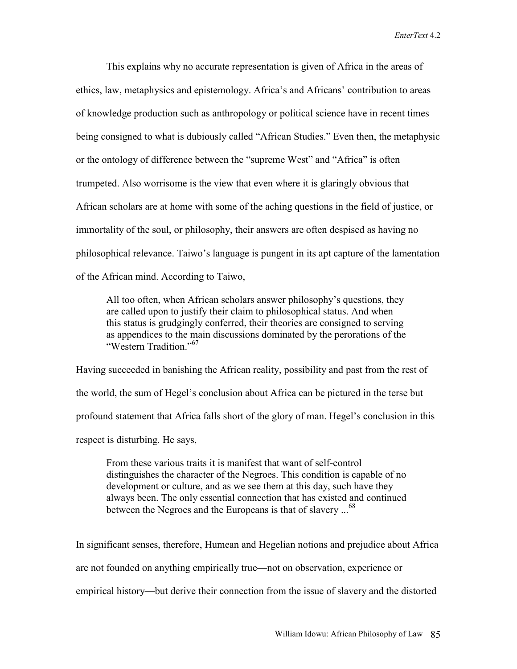This explains why no accurate representation is given of Africa in the areas of ethics, law, metaphysics and epistemology. Africa's and Africans' contribution to areas of knowledge production such as anthropology or political science have in recent times being consigned to what is dubiously called "African Studies." Even then, the metaphysic or the ontology of difference between the "supreme West" and "Africa" is often trumpeted. Also worrisome is the view that even where it is glaringly obvious that African scholars are at home with some of the aching questions in the field of justice, or immortality of the soul, or philosophy, their answers are often despised as having no philosophical relevance. Taiwo's language is pungent in its apt capture of the lamentation of the African mind. According to Taiwo,

All too often, when African scholars answer philosophy's questions, they are called upon to justify their claim to philosophical status. And when this status is grudgingly conferred, their theories are consigned to serving as appendices to the main discussions dominated by the perorations of the "Western Tradition<sup>"67</sup>

Having succeeded in banishing the African reality, possibility and past from the rest of the world, the sum of Hegel's conclusion about Africa can be pictured in the terse but profound statement that Africa falls short of the glory of man. Hegel's conclusion in this respect is disturbing. He says,

From these various traits it is manifest that want of self-control distinguishes the character of the Negroes. This condition is capable of no development or culture, and as we see them at this day, such have they always been. The only essential connection that has existed and continued between the Negroes and the Europeans is that of slavery ...<sup>68</sup>

In significant senses, therefore, Humean and Hegelian notions and prejudice about Africa are not founded on anything empirically true—not on observation, experience or empirical history—but derive their connection from the issue of slavery and the distorted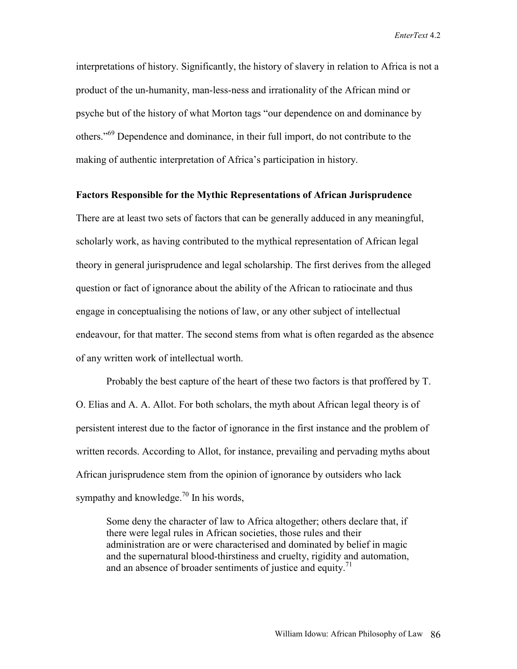interpretations of history. Significantly, the history of slavery in relation to Africa is not a product of the un-humanity, man-less-ness and irrationality of the African mind or psyche but of the history of what Morton tags "our dependence on and dominance by others."69 Dependence and dominance, in their full import, do not contribute to the making of authentic interpretation of Africa's participation in history.

# **Factors Responsible for the Mythic Representations of African Jurisprudence**

There are at least two sets of factors that can be generally adduced in any meaningful, scholarly work, as having contributed to the mythical representation of African legal theory in general jurisprudence and legal scholarship. The first derives from the alleged question or fact of ignorance about the ability of the African to ratiocinate and thus engage in conceptualising the notions of law, or any other subject of intellectual endeavour, for that matter. The second stems from what is often regarded as the absence of any written work of intellectual worth.

Probably the best capture of the heart of these two factors is that proffered by T. O. Elias and A. A. Allot. For both scholars, the myth about African legal theory is of persistent interest due to the factor of ignorance in the first instance and the problem of written records. According to Allot, for instance, prevailing and pervading myths about African jurisprudence stem from the opinion of ignorance by outsiders who lack sympathy and knowledge.<sup>70</sup> In his words,

Some deny the character of law to Africa altogether; others declare that, if there were legal rules in African societies, those rules and their administration are or were characterised and dominated by belief in magic and the supernatural blood-thirstiness and cruelty, rigidity and automation, and an absence of broader sentiments of justice and equity.<sup>71</sup>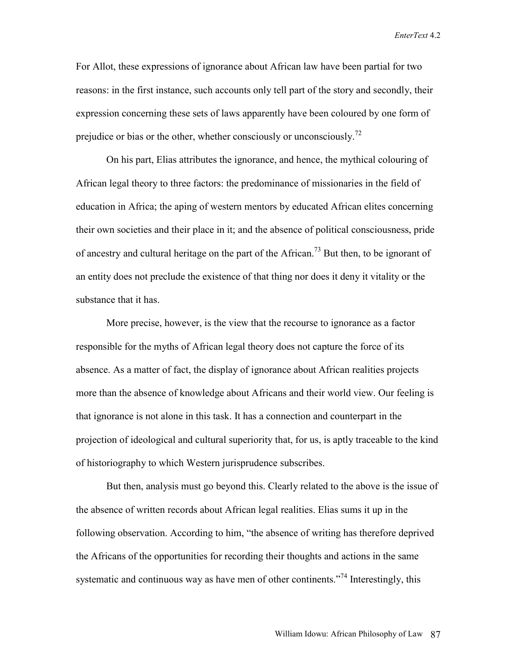For Allot, these expressions of ignorance about African law have been partial for two reasons: in the first instance, such accounts only tell part of the story and secondly, their expression concerning these sets of laws apparently have been coloured by one form of prejudice or bias or the other, whether consciously or unconsciously.<sup>72</sup>

On his part, Elias attributes the ignorance, and hence, the mythical colouring of African legal theory to three factors: the predominance of missionaries in the field of education in Africa; the aping of western mentors by educated African elites concerning their own societies and their place in it; and the absence of political consciousness, pride of ancestry and cultural heritage on the part of the African.<sup>73</sup> But then, to be ignorant of an entity does not preclude the existence of that thing nor does it deny it vitality or the substance that it has.

More precise, however, is the view that the recourse to ignorance as a factor responsible for the myths of African legal theory does not capture the force of its absence. As a matter of fact, the display of ignorance about African realities projects more than the absence of knowledge about Africans and their world view. Our feeling is that ignorance is not alone in this task. It has a connection and counterpart in the projection of ideological and cultural superiority that, for us, is aptly traceable to the kind of historiography to which Western jurisprudence subscribes.

 But then, analysis must go beyond this. Clearly related to the above is the issue of the absence of written records about African legal realities. Elias sums it up in the following observation. According to him, "the absence of writing has therefore deprived the Africans of the opportunities for recording their thoughts and actions in the same systematic and continuous way as have men of other continents."<sup>74</sup> Interestingly, this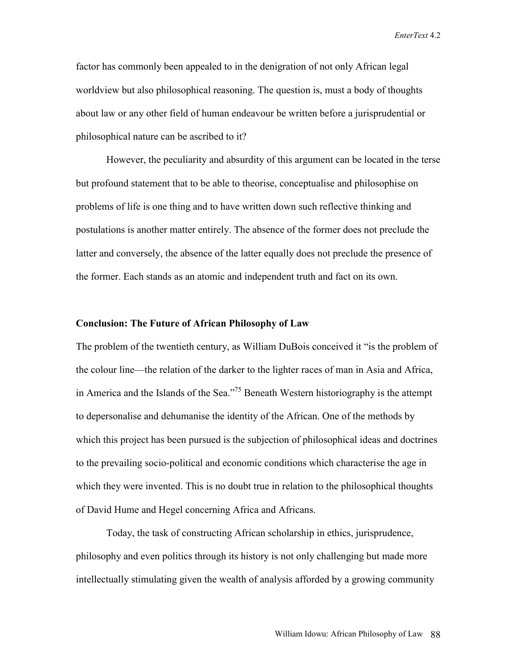factor has commonly been appealed to in the denigration of not only African legal worldview but also philosophical reasoning. The question is, must a body of thoughts about law or any other field of human endeavour be written before a jurisprudential or philosophical nature can be ascribed to it?

However, the peculiarity and absurdity of this argument can be located in the terse but profound statement that to be able to theorise, conceptualise and philosophise on problems of life is one thing and to have written down such reflective thinking and postulations is another matter entirely. The absence of the former does not preclude the latter and conversely, the absence of the latter equally does not preclude the presence of the former. Each stands as an atomic and independent truth and fact on its own.

### **Conclusion: The Future of African Philosophy of Law**

The problem of the twentieth century, as William DuBois conceived it "is the problem of the colour line—the relation of the darker to the lighter races of man in Asia and Africa, in America and the Islands of the Sea."75 Beneath Western historiography is the attempt to depersonalise and dehumanise the identity of the African. One of the methods by which this project has been pursued is the subjection of philosophical ideas and doctrines to the prevailing socio-political and economic conditions which characterise the age in which they were invented. This is no doubt true in relation to the philosophical thoughts of David Hume and Hegel concerning Africa and Africans.

Today, the task of constructing African scholarship in ethics, jurisprudence, philosophy and even politics through its history is not only challenging but made more intellectually stimulating given the wealth of analysis afforded by a growing community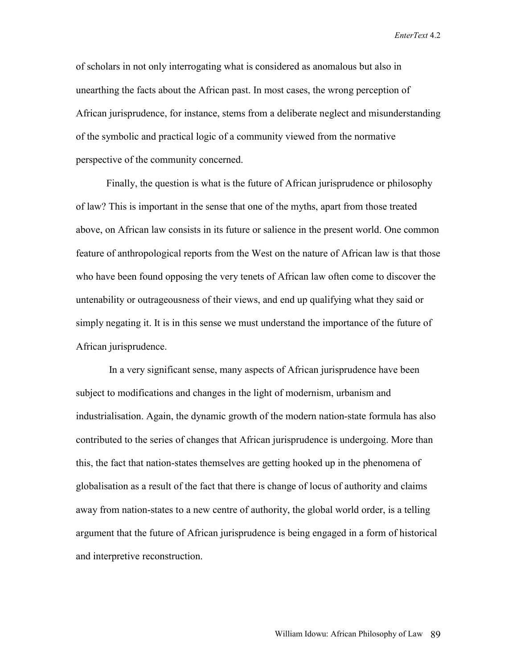of scholars in not only interrogating what is considered as anomalous but also in unearthing the facts about the African past. In most cases, the wrong perception of African jurisprudence, for instance, stems from a deliberate neglect and misunderstanding of the symbolic and practical logic of a community viewed from the normative perspective of the community concerned.

Finally, the question is what is the future of African jurisprudence or philosophy of law? This is important in the sense that one of the myths, apart from those treated above, on African law consists in its future or salience in the present world. One common feature of anthropological reports from the West on the nature of African law is that those who have been found opposing the very tenets of African law often come to discover the untenability or outrageousness of their views, and end up qualifying what they said or simply negating it. It is in this sense we must understand the importance of the future of African jurisprudence.

 In a very significant sense, many aspects of African jurisprudence have been subject to modifications and changes in the light of modernism, urbanism and industrialisation. Again, the dynamic growth of the modern nation-state formula has also contributed to the series of changes that African jurisprudence is undergoing. More than this, the fact that nation-states themselves are getting hooked up in the phenomena of globalisation as a result of the fact that there is change of locus of authority and claims away from nation-states to a new centre of authority, the global world order, is a telling argument that the future of African jurisprudence is being engaged in a form of historical and interpretive reconstruction.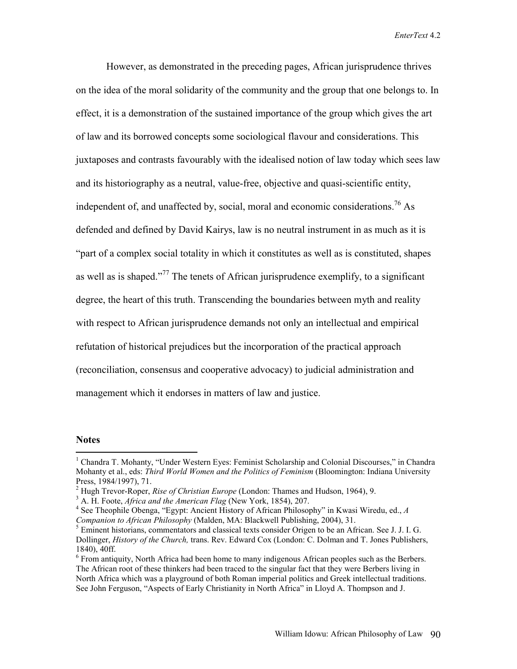However, as demonstrated in the preceding pages, African jurisprudence thrives on the idea of the moral solidarity of the community and the group that one belongs to. In effect, it is a demonstration of the sustained importance of the group which gives the art of law and its borrowed concepts some sociological flavour and considerations. This juxtaposes and contrasts favourably with the idealised notion of law today which sees law and its historiography as a neutral, value-free, objective and quasi-scientific entity, independent of, and unaffected by, social, moral and economic considerations.<sup>76</sup> As defended and defined by David Kairys, law is no neutral instrument in as much as it is "part of a complex social totality in which it constitutes as well as is constituted, shapes as well as is shaped."<sup>77</sup> The tenets of African jurisprudence exemplify, to a significant degree, the heart of this truth. Transcending the boundaries between myth and reality with respect to African jurisprudence demands not only an intellectual and empirical refutation of historical prejudices but the incorporation of the practical approach (reconciliation, consensus and cooperative advocacy) to judicial administration and management which it endorses in matters of law and justice.

#### **Notes**

 $\overline{a}$ 

<sup>&</sup>lt;sup>1</sup> Chandra T. Mohanty, "Under Western Eyes: Feminist Scholarship and Colonial Discourses," in Chandra Mohanty et al., eds: *Third World Women and the Politics of Feminism* (Bloomington: Indiana University Press, 1984/1997), 71.

<sup>&</sup>lt;sup>2</sup> Hugh Trevor-Roper, *Rise of Christian Europe* (London: Thames and Hudson, 1964), 9.<br><sup>3</sup> A. H. Fosta, *Africa and the American Elge* (Navy Vork, 1854), 207

<sup>&</sup>lt;sup>3</sup> A. H. Foote, *Africa and the American Flag* (New York, 1854), 207.

<sup>&</sup>lt;sup>4</sup> See Theophile Obenga, "Egypt: Ancient History of African Philosophy" in Kwasi Wiredu, ed., A *Companion to African Philosophy* (Malden, MA: Blackwell Publishing, 2004), 31.

<sup>&</sup>lt;sup>5</sup> Eminent historians, commentators and classical texts consider Origen to be an African. See J. J. I. G. Dollinger, *History of the Church,* trans. Rev. Edward Cox (London: C. Dolman and T. Jones Publishers, 1840), 40ff.

 $6$  From antiquity, North Africa had been home to many indigenous African peoples such as the Berbers. The African root of these thinkers had been traced to the singular fact that they were Berbers living in North Africa which was a playground of both Roman imperial politics and Greek intellectual traditions. See John Ferguson, "Aspects of Early Christianity in North Africa" in Lloyd A. Thompson and J.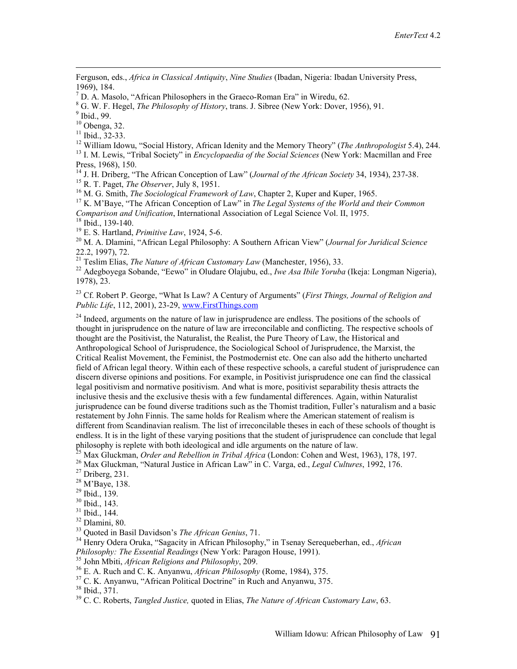Ferguson, eds., *Africa in Classical Antiquity*, *Nine Studies* (Ibadan, Nigeria: Ibadan University Press, 1969), 184.

<sup>7</sup> D. A. Masolo, "African Philosophers in the Graeco-Roman Era" in Wiredu, 62.

 $^8$  G. W. F. Hegel, *The Philosophy of History*, trans. J. Sibree (New York: Dover, 1956), 91.

 $<sup>9</sup>$  Ibid., 99.</sup>

 $10$  Obenga, 32.

 $11$  Ibid., 32-33.

<sup>12</sup> William Idowu, "Social History, African Idenity and the Memory Theory" (*The Anthropologist* 5.4), 244.<br><sup>13</sup> I. M. Lewis, "Tribal Society" in *Encyclopaedia of the Social Sciences* (New York: Macmillan and Free

Press, 1968), 150.

<sup>14</sup> J. H. Driberg, "The African Conception of Law" (Journal of the African Society 34, 1934), 237-38.<br><sup>15</sup> R. T. Paget, *The Observer*, July 8, 1951.<br><sup>16</sup> M. G. Smith, *The Sociological Framework of Law*, Chapter 2, Kupe

*Comparison and Unification*, International Association of Legal Science Vol. II, 1975.<br><sup>18</sup> Ibid., 139-140.<br><sup>19</sup> E. S. Hartland, *Primitive Law*, 1924, 5-6.

<sup>20</sup> M. A. Dlamini, "African Legal Philosophy: A Southern African View" (*Journal for Juridical Science* 22.2, 1997), 72.<br><sup>21</sup> Teslim Elias, *The Nature of African Customary Law* (Manchester, 1956), 33.

<sup>22</sup> Adegboyega Sobande, "Eewo" in Oludare Olajubu, ed., *Iwe Asa Ibile Yoruba* (Ikeja: Longman Nigeria), 1978), 23.

23 Cf. Robert P. George, "What Is Law? A Century of Arguments" (*First Things, Journal of Religion and Public Life*, 112, 2001), 23-29, www.FirstThings.com

 $24$  Indeed, arguments on the nature of law in jurisprudence are endless. The positions of the schools of thought in jurisprudence on the nature of law are irreconcilable and conflicting. The respective schools of thought are the Positivist, the Naturalist, the Realist, the Pure Theory of Law, the Historical and Anthropological School of Jurisprudence, the Sociological School of Jurisprudence, the Marxist, the Critical Realist Movement, the Feminist, the Postmodernist etc. One can also add the hitherto uncharted field of African legal theory. Within each of these respective schools, a careful student of jurisprudence can discern diverse opinions and positions. For example, in Positivist jurisprudence one can find the classical legal positivism and normative positivism. And what is more, positivist separability thesis attracts the inclusive thesis and the exclusive thesis with a few fundamental differences. Again, within Naturalist jurisprudence can be found diverse traditions such as the Thomist tradition, Fuller's naturalism and a basic restatement by John Finnis. The same holds for Realism where the American statement of realism is different from Scandinavian realism. The list of irreconcilable theses in each of these schools of thought is endless. It is in the light of these varying positions that the student of jurisprudence can conclude that legal philosophy is replete with both ideological and idle arguments on the nature of law.

<sup>25</sup> Max Gluckman, *Order and Rebellion in Tribal Africa* (London: Cohen and West, 1963), 178, 197.<br><sup>26</sup> Max Gluckman, "Natural Justice in African Law" in C. Varga, ed., *Legal Cultures*, 1992, 176.<br><sup>27</sup> Driberg, 231.

28 M'Baye, 138.

29 Ibid., 139.

30 Ibid., 143.

31 Ibid., 144.

 $\frac{32}{33}$  Dlamini, 80.<br> $\frac{33}{33}$  Quoted in Basil Davidson's *The African Genius*, 71.

<sup>34</sup> Henry Odera Oruka, "Sagacity in African Philosophy," in Tsenay Serequeberhan, ed., *African Philosophy: The Essential Readings* (New York: Paragon House, 1991).<br><sup>35</sup> John Mbiti, *African Religions and Philosophy*, 209.<br><sup>36</sup> E. A. Ruch and C. K. Anyanwu, *African Philosophy* (Rome, 1984), 375.<br><sup>37</sup> C. K. Anyanwu,

38 Ibid., 371.

39 C. C. Roberts, *Tangled Justice,* quoted in Elias, *The Nature of African Customary Law*, 63.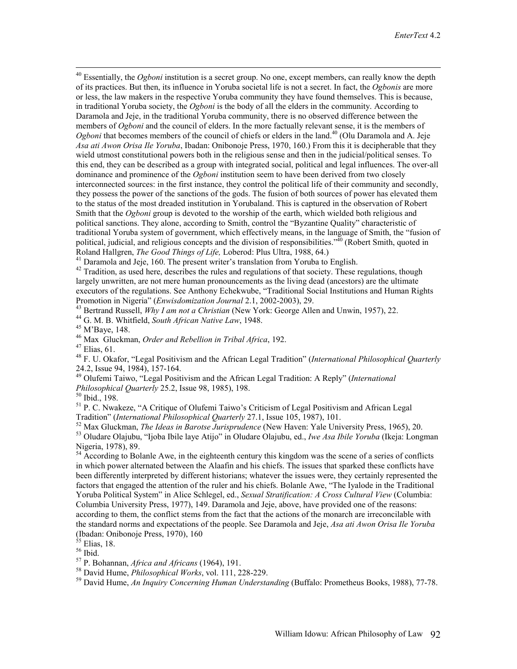<sup>40</sup> Essentially, the *Ogboni* institution is a secret group. No one, except members, can really know the depth of its practices. But then, its influence in Yoruba societal life is not a secret. In fact, the *Ogbonis* are more or less, the law makers in the respective Yoruba community they have found themselves. This is because, in traditional Yoruba society, the *Ogboni* is the body of all the elders in the community. According to Daramola and Jeje, in the traditional Yoruba community, there is no observed difference between the members of *Ogboni* and the council of elders. In the more factually relevant sense, it is the members of *Ogboni* that becomes members of the council of chiefs or elders in the land.<sup>40</sup> (Olu Daramola and A. Jeje *Asa ati Awon Orisa Ile Yoruba*, Ibadan: Onibonoje Press, 1970, 160.) From this it is decipherable that they wield utmost constitutional powers both in the religious sense and then in the judicial/political senses. To this end, they can be described as a group with integrated social, political and legal influences. The over-all dominance and prominence of the *Ogboni* institution seem to have been derived from two closely interconnected sources: in the first instance, they control the political life of their community and secondly, they possess the power of the sanctions of the gods. The fusion of both sources of power has elevated them to the status of the most dreaded institution in Yorubaland. This is captured in the observation of Robert Smith that the *Ogboni* group is devoted to the worship of the earth, which wielded both religious and political sanctions. They alone, according to Smith, control the "Byzantine Quality" characteristic of traditional Yoruba system of government, which effectively means, in the language of Smith, the "fusion of political, judicial, and religious concepts and the division of responsibilities."<sup>40</sup> (Robert Smith, quoted in Roland Hallgren, *The Good Things of Life*, Loberod: Plus Ultra, 1988, 64.)

<sup>41</sup> Daramola and Jeje, 160. The present writer's translation from Yoruba to English.

 $42$  Tradition, as used here, describes the rules and regulations of that society. These regulations, though largely unwritten, are not mere human pronouncements as the living dead (ancestors) are the ultimate executors of the regulations. See Anthony Echekwube, "Traditional Social Institutions and Human Rights Promotion in Nigeria" (*Enwisdomization Journal* 2.1, 2002-2003), 29.<br><sup>43</sup> Bertrand Russell, *Why I am not a Christian* (New York: George Allen and Unwin, 1957), 22.<br><sup>44</sup> G. M. B. Whitfield, *South African Native Law*, 194

<sup>46</sup> Max Gluckman, *Order and Rebellion in Tribal Africa*, 192.<br><sup>47</sup> Elias, 61.

48 F. U. Okafor, "Legal Positivism and the African Legal Tradition" (*International Philosophical Quarterly*  24.2, Issue 94, 1984), 157-164.

49 Olufemi Taiwo, "Legal Positivism and the African Legal Tradition: A Reply" (*International Philosophical Quarterly* 25.2, Issue 98, 1985), 198.<br><sup>50</sup> Ibid., 198.

<sup>51</sup> P. C. Nwakeze, "A Critique of Olufemi Taiwo's Criticism of Legal Positivism and African Legal Tradition" (International Philosophical Quarterly 27.1, Issue 105, 1987), 101.<br><sup>52</sup> Max Gluckman, *The Ideas in Barotse Jurisprudence* (New Haven: Yale University Press, 1965), 20.<br><sup>53</sup> Oludare Olajubu, "Ijoba Ibile lave A

Nigeria, 1978), 89.

 $54$  According to Bolanle Awe, in the eighteenth century this kingdom was the scene of a series of conflicts in which power alternated between the Alaafin and his chiefs. The issues that sparked these conflicts have been differently interpreted by different historians; whatever the issues were, they certainly represented the factors that engaged the attention of the ruler and his chiefs. Bolanle Awe, "The Iyalode in the Traditional Yoruba Political System" in Alice Schlegel, ed., *Sexual Stratification: A Cross Cultural View* (Columbia: Columbia University Press, 1977), 149. Daramola and Jeje, above, have provided one of the reasons: according to them, the conflict stems from the fact that the actions of the monarch are irreconcilable with the standard norms and expectations of the people. See Daramola and Jeje, *Asa ati Awon Orisa Ile Yoruba* (Ibadan: Onibonoje Press, 1970), 160

 $55$  Elias, 18.

<sup>56</sup> Ibid. The United States of the States of P. Bohannan, *Africa and Africans* (1964), 191.

<sup>58</sup> David Hume, *Philosophical Works*, vol. 111, 228-229.<br><sup>59</sup> David Hume, *An Inquiry Concerning Human Understanding* (Buffalo: Prometheus Books, 1988), 77-78.